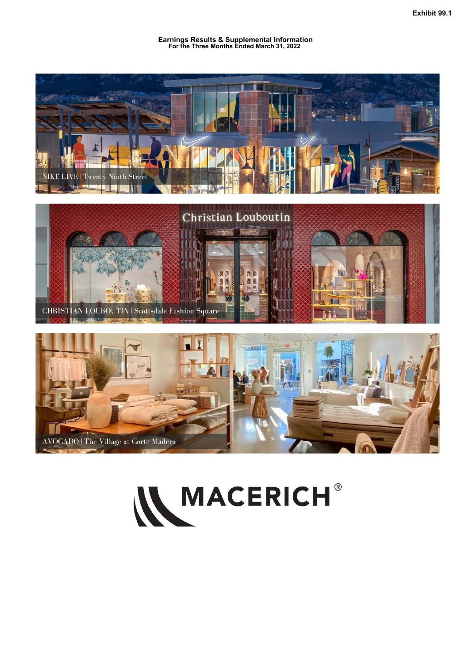**Earnings Results & Supplemental Information For the Three Months Ended March 31, 2022**



# W MACERICH®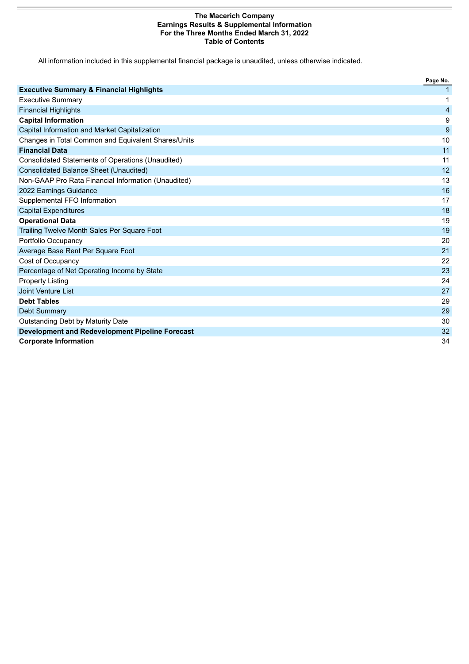#### **The Macerich Company Earnings Results & Supplemental Information For the Three Months Ended March 31, 2022 Table of Contents**

All information included in this supplemental financial package is unaudited, unless otherwise indicated.

|                                                          | Page No.       |
|----------------------------------------------------------|----------------|
| <b>Executive Summary &amp; Financial Highlights</b>      |                |
| <b>Executive Summary</b>                                 | 1              |
| <b>Financial Highlights</b>                              | $\overline{4}$ |
| <b>Capital Information</b>                               | 9              |
| Capital Information and Market Capitalization            | 9              |
| Changes in Total Common and Equivalent Shares/Units      | 10             |
| <b>Financial Data</b>                                    | 11             |
| <b>Consolidated Statements of Operations (Unaudited)</b> | 11             |
| <b>Consolidated Balance Sheet (Unaudited)</b>            | 12             |
| Non-GAAP Pro Rata Financial Information (Unaudited)      | 13             |
| 2022 Earnings Guidance                                   | 16             |
| Supplemental FFO Information                             | 17             |
| <b>Capital Expenditures</b>                              | 18             |
| <b>Operational Data</b>                                  | 19             |
| Trailing Twelve Month Sales Per Square Foot              | 19             |
| Portfolio Occupancy                                      | 20             |
| Average Base Rent Per Square Foot                        | 21             |
| Cost of Occupancy                                        | 22             |
| Percentage of Net Operating Income by State              | 23             |
| <b>Property Listing</b>                                  | 24             |
| Joint Venture List                                       | 27             |
| <b>Debt Tables</b>                                       | 29             |
| <b>Debt Summary</b>                                      | 29             |
| Outstanding Debt by Maturity Date                        | 30             |
| <b>Development and Redevelopment Pipeline Forecast</b>   | 32             |
| <b>Corporate Information</b>                             | 34             |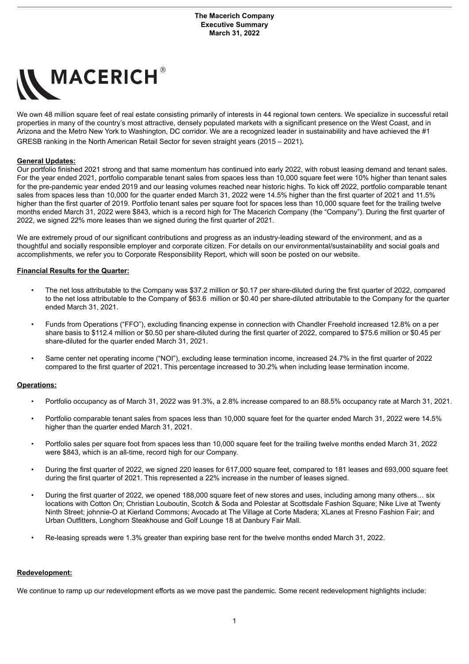<span id="page-2-0"></span>

We own 48 million square feet of real estate consisting primarily of interests in 44 regional town centers. We specialize in successful retail properties in many of the country's most attractive, densely populated markets with a significant presence on the West Coast, and in Arizona and the Metro New York to Washington, DC corridor. We are a recognized leader in sustainability and have achieved the #1 GRESB ranking in the North American Retail Sector for seven straight years (2015 – 2021).

#### **General Updates:**

Our portfolio finished 2021 strong and that same momentum has continued into early 2022, with robust leasing demand and tenant sales. For the year ended 2021, portfolio comparable tenant sales from spaces less than 10,000 square feet were 10% higher than tenant sales for the pre-pandemic year ended 2019 and our leasing volumes reached near historic highs. To kick off 2022, portfolio comparable tenant sales from spaces less than 10,000 for the quarter ended March 31, 2022 were 14.5% higher than the first quarter of 2021 and 11.5% higher than the first quarter of 2019. Portfolio tenant sales per square foot for spaces less than 10,000 square feet for the trailing twelve months ended March 31, 2022 were \$843, which is a record high for The Macerich Company (the "Company"). During the first quarter of 2022, we signed 22% more leases than we signed during the first quarter of 2021.

We are extremely proud of our significant contributions and progress as an industry-leading steward of the environment, and as a thoughtful and socially responsible employer and corporate citizen. For details on our environmental/sustainability and social goals and accomplishments, we refer you to Corporate Responsibility Report, which will soon be posted on our website.

#### **Financial Results for the Quarter:**

- The net loss attributable to the Company was \$37.2 million or \$0.17 per share-diluted during the first quarter of 2022, compared to the net loss attributable to the Company of \$63.6 million or \$0.40 per share-diluted attributable to the Company for the quarter ended March 31, 2021.
- Funds from Operations ("FFO"), excluding financing expense in connection with Chandler Freehold increased 12.8% on a per share basis to \$112.4 million or \$0.50 per share-diluted during the first quarter of 2022, compared to \$75.6 million or \$0.45 per share-diluted for the quarter ended March 31, 2021.
- Same center net operating income ("NOI"), excluding lease termination income, increased 24.7% in the first quarter of 2022 compared to the first quarter of 2021. This percentage increased to 30.2% when including lease termination income.

#### **Operations:**

- Portfolio occupancy as of March 31, 2022 was 91.3%, a 2.8% increase compared to an 88.5% occupancy rate at March 31, 2021.
- Portfolio comparable tenant sales from spaces less than 10,000 square feet for the quarter ended March 31, 2022 were 14.5% higher than the quarter ended March 31, 2021.
- Portfolio sales per square foot from spaces less than 10,000 square feet for the trailing twelve months ended March 31, 2022 were \$843, which is an all-time, record high for our Company.
- During the first quarter of 2022, we signed 220 leases for 617,000 square feet, compared to 181 leases and 693,000 square feet during the first quarter of 2021. This represented a 22% increase in the number of leases signed.
- During the first quarter of 2022, we opened 188,000 square feet of new stores and uses, including among many others… six locations with Cotton On; Christian Louboutin, Scotch & Soda and Polestar at Scottsdale Fashion Square; Nike Live at Twenty Ninth Street; johnnie-O at Kierland Commons; Avocado at The Village at Corte Madera; XLanes at Fresno Fashion Fair; and Urban Outfitters, Longhorn Steakhouse and Golf Lounge 18 at Danbury Fair Mall.
- Re-leasing spreads were 1.3% greater than expiring base rent for the twelve months ended March 31, 2022.

#### **Redevelopment:**

We continue to ramp up our redevelopment efforts as we move past the pandemic. Some recent redevelopment highlights include: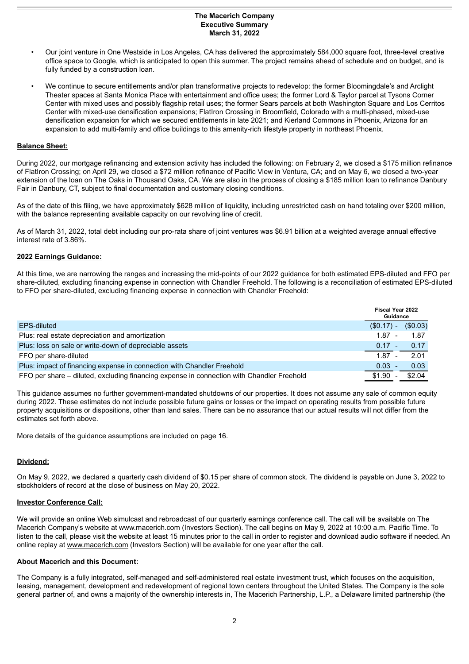#### **The Macerich Company Executive Summary March 31, 2022**

- Our joint venture in One Westside in Los Angeles, CA has delivered the approximately 584,000 square foot, three-level creative office space to Google, which is anticipated to open this summer. The project remains ahead of schedule and on budget, and is fully funded by a construction loan.
- We continue to secure entitlements and/or plan transformative projects to redevelop: the former Bloomingdale's and Arclight Theater spaces at Santa Monica Place with entertainment and office uses; the former Lord & Taylor parcel at Tysons Corner Center with mixed uses and possibly flagship retail uses; the former Sears parcels at both Washington Square and Los Cerritos Center with mixed-use densification expansions; FlatIron Crossing in Broomfield, Colorado with a multi-phased, mixed-use densification expansion for which we secured entitlements in late 2021; and Kierland Commons in Phoenix, Arizona for an expansion to add multi-family and office buildings to this amenity-rich lifestyle property in northeast Phoenix.

#### **Balance Sheet:**

During 2022, our mortgage refinancing and extension activity has included the following: on February 2, we closed a \$175 million refinance of FlatIron Crossing; on April 29, we closed a \$72 million refinance of Pacific View in Ventura, CA; and on May 6, we closed a two-year extension of the loan on The Oaks in Thousand Oaks, CA. We are also in the process of closing a \$185 million loan to refinance Danbury Fair in Danbury, CT, subject to final documentation and customary closing conditions.

As of the date of this filing, we have approximately \$628 million of liquidity, including unrestricted cash on hand totaling over \$200 million, with the balance representing available capacity on our revolving line of credit.

As of March 31, 2022, total debt including our pro-rata share of joint ventures was \$6.91 billion at a weighted average annual effective interest rate of 3.86%.

#### **2022 Earnings Guidance:**

At this time, we are narrowing the ranges and increasing the mid-points of our 2022 guidance for both estimated EPS-diluted and FFO per share-diluted, excluding financing expense in connection with Chandler Freehold. The following is a reconciliation of estimated EPS-diluted to FFO per share-diluted, excluding financing expense in connection with Chandler Freehold:

|                                                                                           | <b>Fiscal Year 2022</b><br>Guidance |          |
|-------------------------------------------------------------------------------------------|-------------------------------------|----------|
| EPS-diluted                                                                               | $(S0.17) -$                         | (\$0.03) |
| Plus: real estate depreciation and amortization                                           | $1.87 -$                            | - 1.87   |
| Plus: loss on sale or write-down of depreciable assets                                    | $0.17 -$                            | 0.17     |
| FFO per share-diluted                                                                     | $1.87 -$                            | 2.01     |
| Plus: impact of financing expense in connection with Chandler Freehold                    | $0.03 -$                            | 0.03     |
| FFO per share - diluted, excluding financing expense in connection with Chandler Freehold | \$1.90                              | \$2.04   |

This guidance assumes no further government-mandated shutdowns of our properties. It does not assume any sale of common equity during 2022. These estimates do not include possible future gains or losses or the impact on operating results from possible future property acquisitions or dispositions, other than land sales. There can be no assurance that our actual results will not differ from the estimates set forth above.

More details of the guidance assumptions are included on page 16.

#### **Dividend:**

On May 9, 2022, we declared a quarterly cash dividend of \$0.15 per share of common stock. The dividend is payable on June 3, 2022 to stockholders of record at the close of business on May 20, 2022.

#### **Investor Conference Call:**

We will provide an online Web simulcast and rebroadcast of our quarterly earnings conference call. The call will be available on The Macerich Company's website at www.macerich.com (Investors Section). The call begins on May 9, 2022 at 10:00 a.m. Pacific Time. To listen to the call, please visit the website at least 15 minutes prior to the call in order to register and download audio software if needed. An online replay at www.macerich.com (Investors Section) will be available for one year after the call.

#### **About Macerich and this Document:**

The Company is a fully integrated, self-managed and self-administered real estate investment trust, which focuses on the acquisition, leasing, management, development and redevelopment of regional town centers throughout the United States. The Company is the sole general partner of, and owns a majority of the ownership interests in, The Macerich Partnership, L.P., a Delaware limited partnership (the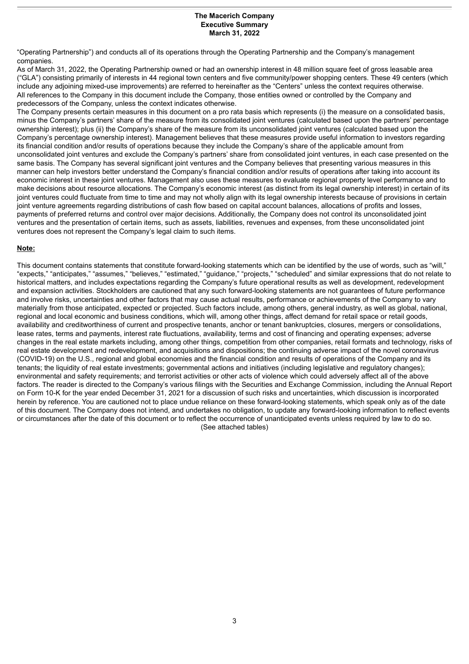#### **The Macerich Company Executive Summary March 31, 2022**

<span id="page-4-0"></span>"Operating Partnership") and conducts all of its operations through the Operating Partnership and the Company's management companies.

As of March 31, 2022, the Operating Partnership owned or had an ownership interest in 48 million square feet of gross leasable area ("GLA") consisting primarily of interests in 44 regional town centers and five community/power shopping centers. These 49 centers (which include any adjoining mixed-use improvements) are referred to hereinafter as the "Centers" unless the context requires otherwise. All references to the Company in this document include the Company, those entities owned or controlled by the Company and predecessors of the Company, unless the context indicates otherwise.

The Company presents certain measures in this document on a pro rata basis which represents (i) the measure on a consolidated basis, minus the Company's partners' share of the measure from its consolidated joint ventures (calculated based upon the partners' percentage ownership interest); plus (ii) the Company's share of the measure from its unconsolidated joint ventures (calculated based upon the Company's percentage ownership interest). Management believes that these measures provide useful information to investors regarding its financial condition and/or results of operations because they include the Company's share of the applicable amount from unconsolidated joint ventures and exclude the Company's partners' share from consolidated joint ventures, in each case presented on the same basis. The Company has several significant joint ventures and the Company believes that presenting various measures in this manner can help investors better understand the Company's financial condition and/or results of operations after taking into account its economic interest in these joint ventures. Management also uses these measures to evaluate regional property level performance and to make decisions about resource allocations. The Company's economic interest (as distinct from its legal ownership interest) in certain of its joint ventures could fluctuate from time to time and may not wholly align with its legal ownership interests because of provisions in certain joint venture agreements regarding distributions of cash flow based on capital account balances, allocations of profits and losses, payments of preferred returns and control over major decisions. Additionally, the Company does not control its unconsolidated joint ventures and the presentation of certain items, such as assets, liabilities, revenues and expenses, from these unconsolidated joint ventures does not represent the Company's legal claim to such items.

#### **Note:**

This document contains statements that constitute forward-looking statements which can be identified by the use of words, such as "will," "expects," "anticipates," "assumes," "believes," "estimated," "guidance," "projects," "scheduled" and similar expressions that do not relate to historical matters, and includes expectations regarding the Company's future operational results as well as development, redevelopment and expansion activities. Stockholders are cautioned that any such forward-looking statements are not guarantees of future performance and involve risks, uncertainties and other factors that may cause actual results, performance or achievements of the Company to vary materially from those anticipated, expected or projected. Such factors include, among others, general industry, as well as global, national, regional and local economic and business conditions, which will, among other things, affect demand for retail space or retail goods, availability and creditworthiness of current and prospective tenants, anchor or tenant bankruptcies, closures, mergers or consolidations, lease rates, terms and payments, interest rate fluctuations, availability, terms and cost of financing and operating expenses; adverse changes in the real estate markets including, among other things, competition from other companies, retail formats and technology, risks of real estate development and redevelopment, and acquisitions and dispositions; the continuing adverse impact of the novel coronavirus (COVID-19) on the U.S., regional and global economies and the financial condition and results of operations of the Company and its tenants; the liquidity of real estate investments; governmental actions and initiatives (including legislative and regulatory changes); environmental and safety requirements; and terrorist activities or other acts of violence which could adversely affect all of the above factors. The reader is directed to the Company's various filings with the Securities and Exchange Commission, including the Annual Report on Form 10-K for the year ended December 31, 2021 for a discussion of such risks and uncertainties, which discussion is incorporated herein by reference. You are cautioned not to place undue reliance on these forward-looking statements, which speak only as of the date of this document. The Company does not intend, and undertakes no obligation, to update any forward-looking information to reflect events or circumstances after the date of this document or to reflect the occurrence of unanticipated events unless required by law to do so. (See attached tables)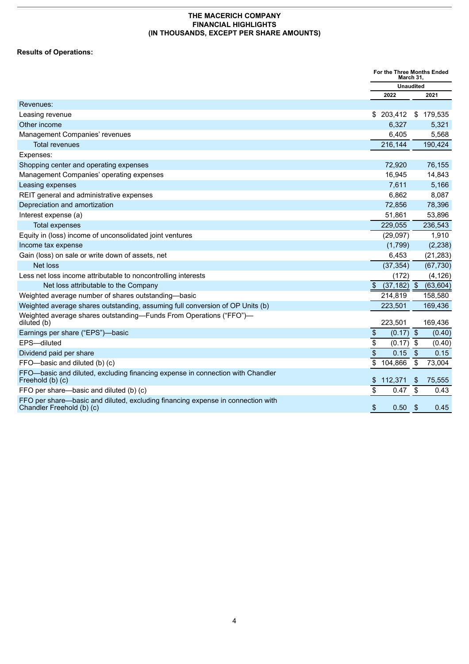# <span id="page-5-0"></span>**Results of Operations:**

|                                                                                                              | For the Three Months Ended<br>March 31, |                  |     |           |
|--------------------------------------------------------------------------------------------------------------|-----------------------------------------|------------------|-----|-----------|
|                                                                                                              |                                         | <b>Unaudited</b> |     |           |
|                                                                                                              |                                         | 2022             |     | 2021      |
| Revenues:                                                                                                    |                                         |                  |     |           |
| Leasing revenue                                                                                              |                                         | \$203,412        |     | \$179,535 |
| Other income                                                                                                 |                                         | 6,327            |     | 5,321     |
| Management Companies' revenues                                                                               |                                         | 6,405            |     | 5,568     |
| <b>Total revenues</b>                                                                                        |                                         | 216,144          |     | 190,424   |
| Expenses:                                                                                                    |                                         |                  |     |           |
| Shopping center and operating expenses                                                                       |                                         | 72,920           |     | 76,155    |
| Management Companies' operating expenses                                                                     |                                         | 16,945           |     | 14,843    |
| Leasing expenses                                                                                             |                                         | 7,611            |     | 5,166     |
| REIT general and administrative expenses                                                                     |                                         | 6,862            |     | 8,087     |
| Depreciation and amortization                                                                                |                                         | 72,856           |     | 78,396    |
| Interest expense (a)                                                                                         |                                         | 51,861           |     | 53,896    |
| <b>Total expenses</b>                                                                                        |                                         | 229,055          |     | 236,543   |
| Equity in (loss) income of unconsolidated joint ventures                                                     |                                         | (29,097)         |     | 1,910     |
| Income tax expense                                                                                           |                                         | (1,799)          |     | (2, 238)  |
| Gain (loss) on sale or write down of assets, net                                                             |                                         | 6,453            |     | (21, 283) |
| <b>Net loss</b>                                                                                              |                                         | (37, 354)        |     | (67, 730) |
| Less net loss income attributable to noncontrolling interests                                                |                                         | (172)            |     | (4, 126)  |
| Net loss attributable to the Company                                                                         | \$                                      | $(37, 182)$ \$   |     | (63, 604) |
| Weighted average number of shares outstanding-basic                                                          |                                         | 214,819          |     | 158,580   |
| Weighted average shares outstanding, assuming full conversion of OP Units (b)                                |                                         | 223,501          |     | 169,436   |
| Weighted average shares outstanding-Funds From Operations ("FFO")-<br>diluted (b)                            |                                         | 223,501          |     | 169,436   |
| Earnings per share ("EPS")-basic                                                                             | $\frac{1}{2}$                           | $(0.17)$ \$      |     | (0.40)    |
| EPS-diluted                                                                                                  | \$                                      | (0.17)           | -\$ | (0.40)    |
| Dividend paid per share                                                                                      | $\overline{\$}$                         | 0.15             | \$  | 0.15      |
| FFO-basic and diluted (b) (c)                                                                                | \$                                      | 104,866          | \$  | 73,004    |
| FFO-basic and diluted, excluding financing expense in connection with Chandler<br>Freehold (b) (c)           | \$                                      | 112,371          | \$  | 75,555    |
| FFO per share-basic and diluted (b) (c)                                                                      | $\overline{\$}$                         | 0.47             | \$  | 0.43      |
| FFO per share—basic and diluted, excluding financing expense in connection with<br>Chandler Freehold (b) (c) | $\frac{1}{2}$                           | 0.50             | \$  | 0.45      |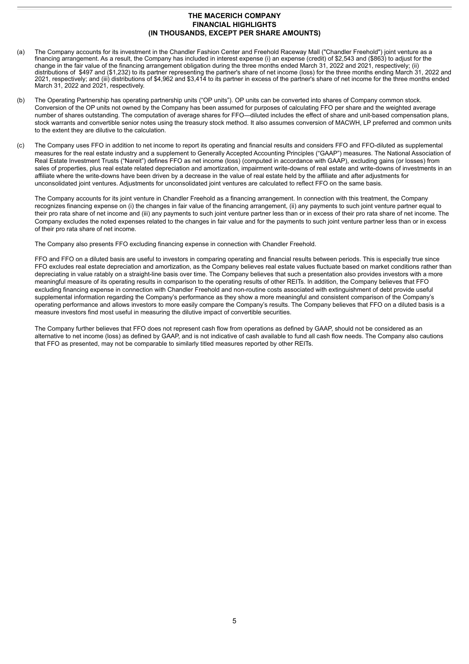- (a) The Company accounts for its investment in the Chandler Fashion Center and Freehold Raceway Mall ("Chandler Freehold") joint venture as a financing arrangement. As a result, the Company has included in interest expense (i) an expense (credit) of \$2,543 and (\$863) to adjust for the change in the fair value of the financing arrangement obligation during the three months ended March 31, 2022 and 2021, respectively; (ii) distributions of \$497 and (\$1,232) to its partner representing the partner's share of net income (loss) for the three months ending March 31, 2022 and 2021, respectively; and (iii) distributions of \$4,962 and \$3,414 to its partner in excess of the partner's share of net income for the three months ended March 31, 2022 and 2021, respectively.
- (b) The Operating Partnership has operating partnership units ("OP units"). OP units can be converted into shares of Company common stock. Conversion of the OP units not owned by the Company has been assumed for purposes of calculating FFO per share and the weighted average number of shares outstanding. The computation of average shares for FFO—diluted includes the effect of share and unit-based compensation plans, stock warrants and convertible senior notes using the treasury stock method. It also assumes conversion of MACWH, LP preferred and common units to the extent they are dilutive to the calculation.
- (c) The Company uses FFO in addition to net income to report its operating and financial results and considers FFO and FFO-diluted as supplemental measures for the real estate industry and a supplement to Generally Accepted Accounting Principles ("GAAP") measures. The National Association of Real Estate Investment Trusts ("Nareit") defines FFO as net income (loss) (computed in accordance with GAAP), excluding gains (or losses) from sales of properties, plus real estate related depreciation and amortization, impairment write-downs of real estate and write-downs of investments in an affiliate where the write-downs have been driven by a decrease in the value of real estate held by the affiliate and after adjustments for unconsolidated joint ventures. Adjustments for unconsolidated joint ventures are calculated to reflect FFO on the same basis.

The Company accounts for its joint venture in Chandler Freehold as a financing arrangement. In connection with this treatment, the Company recognizes financing expense on (i) the changes in fair value of the financing arrangement, (ii) any payments to such joint venture partner equal to their pro rata share of net income and (iii) any payments to such joint venture partner less than or in excess of their pro rata share of net income. The Company excludes the noted expenses related to the changes in fair value and for the payments to such joint venture partner less than or in excess of their pro rata share of net income.

The Company also presents FFO excluding financing expense in connection with Chandler Freehold.

FFO and FFO on a diluted basis are useful to investors in comparing operating and financial results between periods. This is especially true since FFO excludes real estate depreciation and amortization, as the Company believes real estate values fluctuate based on market conditions rather than depreciating in value ratably on a straight-line basis over time. The Company believes that such a presentation also provides investors with a more meaningful measure of its operating results in comparison to the operating results of other REITs. In addition, the Company believes that FFO excluding financing expense in connection with Chandler Freehold and non-routine costs associated with extinguishment of debt provide useful supplemental information regarding the Company's performance as they show a more meaningful and consistent comparison of the Company's operating performance and allows investors to more easily compare the Company's results. The Company believes that FFO on a diluted basis is a measure investors find most useful in measuring the dilutive impact of convertible securities.

The Company further believes that FFO does not represent cash flow from operations as defined by GAAP, should not be considered as an alternative to net income (loss) as defined by GAAP, and is not indicative of cash available to fund all cash flow needs. The Company also cautions that FFO as presented, may not be comparable to similarly titled measures reported by other REITs.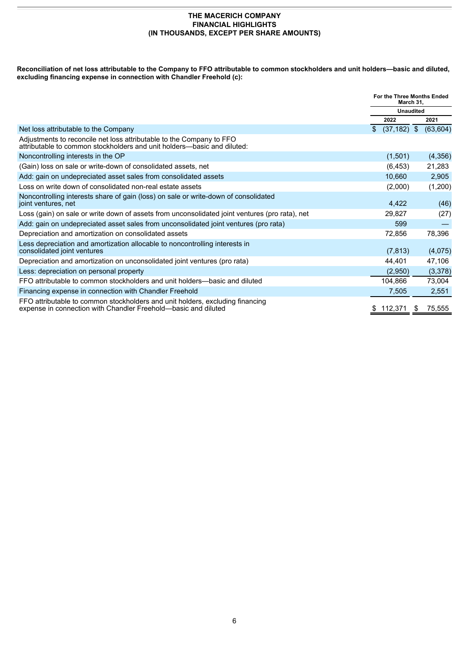**Reconciliation of net loss attributable to the Company to FFO attributable to common stockholders and unit holders—basic and diluted, excluding financing expense in connection with Chandler Freehold (c):**

|                                                                                                                                                 | For the Three Months Ended<br>March 31, |                  |
|-------------------------------------------------------------------------------------------------------------------------------------------------|-----------------------------------------|------------------|
|                                                                                                                                                 |                                         | <b>Unaudited</b> |
|                                                                                                                                                 | 2022                                    | 2021             |
| Net loss attributable to the Company                                                                                                            | $(37, 182)$ \$<br>$\mathbb{S}$          | (63, 604)        |
| Adjustments to reconcile net loss attributable to the Company to FFO<br>attributable to common stockholders and unit holders—basic and diluted: |                                         |                  |
| Noncontrolling interests in the OP                                                                                                              | (1,501)                                 | (4,356)          |
| (Gain) loss on sale or write-down of consolidated assets, net                                                                                   | (6, 453)                                | 21,283           |
| Add: gain on undepreciated asset sales from consolidated assets                                                                                 | 10,660                                  | 2,905            |
| Loss on write down of consolidated non-real estate assets                                                                                       | (2,000)                                 | (1,200)          |
| Noncontrolling interests share of gain (loss) on sale or write-down of consolidated<br>joint ventures, net                                      | 4,422                                   | (46)             |
| Loss (gain) on sale or write down of assets from unconsolidated joint ventures (pro rata), net                                                  | 29,827                                  | (27)             |
| Add: gain on undepreciated asset sales from unconsolidated joint ventures (pro rata)                                                            | 599                                     |                  |
| Depreciation and amortization on consolidated assets                                                                                            | 72,856                                  | 78,396           |
| Less depreciation and amortization allocable to noncontrolling interests in<br>consolidated joint ventures                                      | (7, 813)                                | (4,075)          |
| Depreciation and amortization on unconsolidated joint ventures (pro rata)                                                                       | 44,401                                  | 47,106           |
| Less: depreciation on personal property                                                                                                         | (2,950)                                 | (3,378)          |
| FFO attributable to common stockholders and unit holders—basic and diluted                                                                      | 104,866                                 | 73,004           |
| Financing expense in connection with Chandler Freehold                                                                                          | 7,505                                   | 2,551            |
| FFO attributable to common stockholders and unit holders, excluding financing<br>expense in connection with Chandler Freehold-basic and diluted | 112,371<br>\$.                          | 75,555<br>-S     |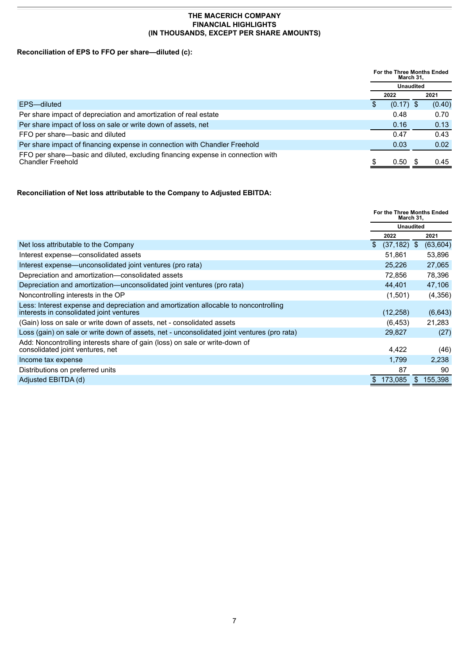# **Reconciliation of EPS to FFO per share—diluted (c):**

|                                                                                                             | For the Three Months Ended<br>March 31, |             |  |        |
|-------------------------------------------------------------------------------------------------------------|-----------------------------------------|-------------|--|--------|
|                                                                                                             | <b>Unaudited</b>                        |             |  |        |
|                                                                                                             | 2022                                    |             |  | 2021   |
| EPS-diluted                                                                                                 |                                         | $(0.17)$ \$ |  | (0.40) |
| Per share impact of depreciation and amortization of real estate                                            |                                         | 0.48        |  | 0.70   |
| Per share impact of loss on sale or write down of assets, net                                               |                                         | 0.16        |  | 0.13   |
| FFO per share-basic and diluted                                                                             |                                         | 0.47        |  | 0.43   |
| Per share impact of financing expense in connection with Chandler Freehold                                  |                                         | 0.03        |  | 0.02   |
| FFO per share—basic and diluted, excluding financing expense in connection with<br><b>Chandler Freehold</b> |                                         | 0.50        |  | 0.45   |

## **Reconciliation of Net loss attributable to the Company to Adjusted EBITDA:**

|                                                                                                                                  | For the Three Months Ended<br>March 31, |           |
|----------------------------------------------------------------------------------------------------------------------------------|-----------------------------------------|-----------|
|                                                                                                                                  | <b>Unaudited</b>                        |           |
|                                                                                                                                  | 2022                                    | 2021      |
| Net loss attributable to the Company                                                                                             | $(37, 182)$ \$<br>\$                    | (63, 604) |
| Interest expense—consolidated assets                                                                                             | 51,861                                  | 53,896    |
| Interest expense—unconsolidated joint ventures (pro rata)                                                                        | 25,226                                  | 27,065    |
| Depreciation and amortization-consolidated assets                                                                                | 72,856                                  | 78,396    |
| Depreciation and amortization—unconsolidated joint ventures (pro rata)                                                           | 44.401                                  | 47,106    |
| Noncontrolling interests in the OP                                                                                               | (1,501)                                 | (4,356)   |
| Less: Interest expense and depreciation and amortization allocable to noncontrolling<br>interests in consolidated joint ventures | (12, 258)                               | (6,643)   |
| (Gain) loss on sale or write down of assets, net - consolidated assets                                                           | (6, 453)                                | 21,283    |
| Loss (gain) on sale or write down of assets, net - unconsolidated joint ventures (pro rata)                                      | 29,827                                  | (27)      |
| Add: Noncontrolling interests share of gain (loss) on sale or write-down of<br>consolidated joint ventures, net                  | 4,422                                   | (46)      |
| Income tax expense                                                                                                               | 1.799                                   | 2,238     |
| Distributions on preferred units                                                                                                 | 87                                      | 90        |
| Adjusted EBITDA (d)                                                                                                              | 173,085<br>S.                           | \$155.398 |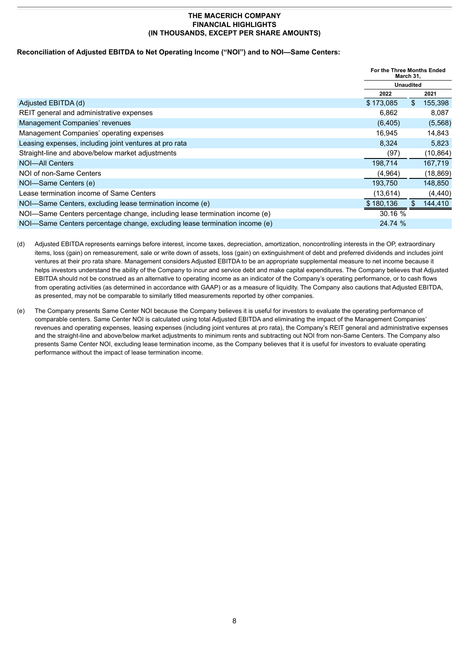#### **Reconciliation of Adjusted EBITDA to Net Operating Income ("NOI") and to NOI—Same Centers:**

|                                                                            | For the Three Months Ended<br>March 31, |           |
|----------------------------------------------------------------------------|-----------------------------------------|-----------|
|                                                                            | <b>Unaudited</b>                        |           |
|                                                                            | 2022                                    | 2021      |
| Adjusted EBITDA (d)                                                        | \$<br>\$173,085                         | 155,398   |
| REIT general and administrative expenses                                   | 6,862                                   | 8,087     |
| Management Companies' revenues                                             | (6, 405)                                | (5,568)   |
| Management Companies' operating expenses                                   | 16.945                                  | 14,843    |
| Leasing expenses, including joint ventures at pro rata                     | 8,324                                   | 5,823     |
| Straight-line and above/below market adjustments                           | (97)                                    | (10, 864) |
| NOI-All Centers                                                            | 198,714                                 | 167,719   |
| NOI of non-Same Centers                                                    | (4,964)                                 | (18, 869) |
| NOI-Same Centers (e)                                                       | 193.750                                 | 148,850   |
| Lease termination income of Same Centers                                   | (13, 614)                               | (4, 440)  |
| NOI-Same Centers, excluding lease termination income (e)                   | $\mathbb{S}$<br>\$180,136               | 144,410   |
| NOI-Same Centers percentage change, including lease termination income (e) | 30.16 %                                 |           |
| NOI-Same Centers percentage change, excluding lease termination income (e) | 24.74 %                                 |           |

(d) Adjusted EBITDA represents earnings before interest, income taxes, depreciation, amortization, noncontrolling interests in the OP, extraordinary items, loss (gain) on remeasurement, sale or write down of assets, loss (gain) on extinguishment of debt and preferred dividends and includes joint ventures at their pro rata share. Management considers Adjusted EBITDA to be an appropriate supplemental measure to net income because it helps investors understand the ability of the Company to incur and service debt and make capital expenditures. The Company believes that Adjusted EBITDA should not be construed as an alternative to operating income as an indicator of the Company's operating performance, or to cash flows from operating activities (as determined in accordance with GAAP) or as a measure of liquidity. The Company also cautions that Adjusted EBITDA, as presented, may not be comparable to similarly titled measurements reported by other companies.

(e) The Company presents Same Center NOI because the Company believes it is useful for investors to evaluate the operating performance of comparable centers. Same Center NOI is calculated using total Adjusted EBITDA and eliminating the impact of the Management Companies' revenues and operating expenses, leasing expenses (including joint ventures at pro rata), the Company's REIT general and administrative expenses and the straight-line and above/below market adjustments to minimum rents and subtracting out NOI from non-Same Centers. The Company also presents Same Center NOI, excluding lease termination income, as the Company believes that it is useful for investors to evaluate operating performance without the impact of lease termination income.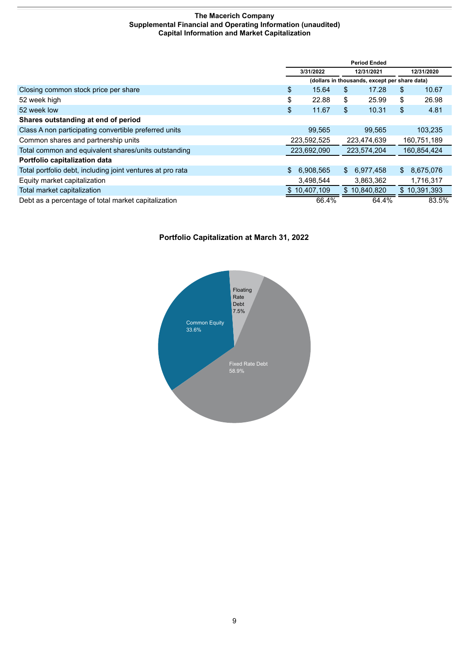#### **The Macerich Company Supplemental Financial and Operating Information (unaudited) Capital Information and Market Capitalization**

<span id="page-10-0"></span>

|                                                            |                         | <b>Period Ended</b>                           |    |              |    |              |  |            |
|------------------------------------------------------------|-------------------------|-----------------------------------------------|----|--------------|----|--------------|--|------------|
|                                                            | 3/31/2022<br>12/31/2021 |                                               |    |              |    |              |  | 12/31/2020 |
|                                                            |                         | (dollars in thousands, except per share data) |    |              |    |              |  |            |
| Closing common stock price per share                       | \$                      | 15.64                                         | \$ | 17.28        | \$ | 10.67        |  |            |
| 52 week high                                               | \$                      | 22.88                                         | \$ | 25.99        | \$ | 26.98        |  |            |
| 52 week low                                                | \$                      | 11.67                                         | \$ | 10.31        | \$ | 4.81         |  |            |
| Shares outstanding at end of period                        |                         |                                               |    |              |    |              |  |            |
| Class A non participating convertible preferred units      |                         | 99,565                                        |    | 99,565       |    | 103,235      |  |            |
| Common shares and partnership units                        |                         | 223,592,525                                   |    | 223,474,639  |    | 160,751,189  |  |            |
| Total common and equivalent shares/units outstanding       |                         | 223,692,090                                   |    | 223,574,204  |    | 160,854,424  |  |            |
| Portfolio capitalization data                              |                         |                                               |    |              |    |              |  |            |
| Total portfolio debt, including joint ventures at pro rata | $\mathbb{S}$            | 6,908,565                                     | \$ | 6.977.458    |    | \$8,675,076  |  |            |
| Equity market capitalization                               |                         | 3,498,544                                     |    | 3,863,362    |    | 1,716,317    |  |            |
| Total market capitalization                                |                         | \$10,407,109                                  |    | \$10,840,820 |    | \$10,391,393 |  |            |
| Debt as a percentage of total market capitalization        |                         | 66.4%                                         |    | 64.4%        |    | 83.5%        |  |            |

# **Portfolio Capitalization at March 31, 2022**

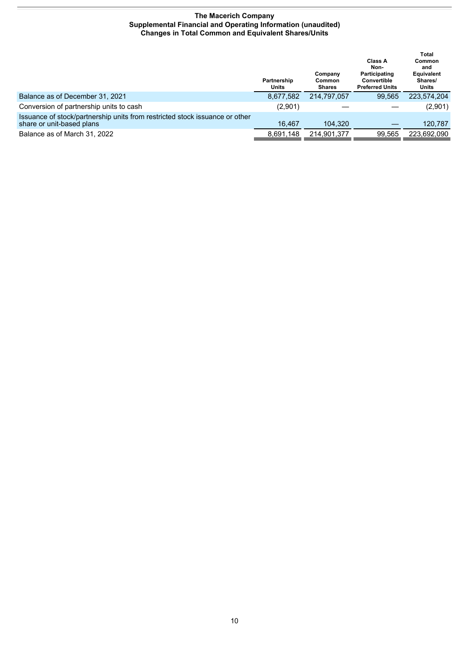#### **The Macerich Company Supplemental Financial and Operating Information (unaudited) Changes in Total Common and Equivalent Shares/Units**

<span id="page-11-0"></span>

|                                                                                                          | Partnership<br>Units | Company<br>Common<br><b>Shares</b> | Class A<br>Non-<br>Participating<br>Convertible<br><b>Preferred Units</b> | Total<br>Common<br>and<br><b>Equivalent</b><br>Shares/<br>Units |
|----------------------------------------------------------------------------------------------------------|----------------------|------------------------------------|---------------------------------------------------------------------------|-----------------------------------------------------------------|
| Balance as of December 31, 2021                                                                          | 8,677,582            | 214.797.057                        | 99.565                                                                    | 223,574,204                                                     |
| Conversion of partnership units to cash                                                                  | (2,901)              |                                    |                                                                           | (2,901)                                                         |
| Issuance of stock/partnership units from restricted stock issuance or other<br>share or unit-based plans | 16.467               | 104.320                            |                                                                           | 120,787                                                         |
| Balance as of March 31, 2022                                                                             | 8.691.148            | 214,901,377                        | 99.565                                                                    | 223.692.090                                                     |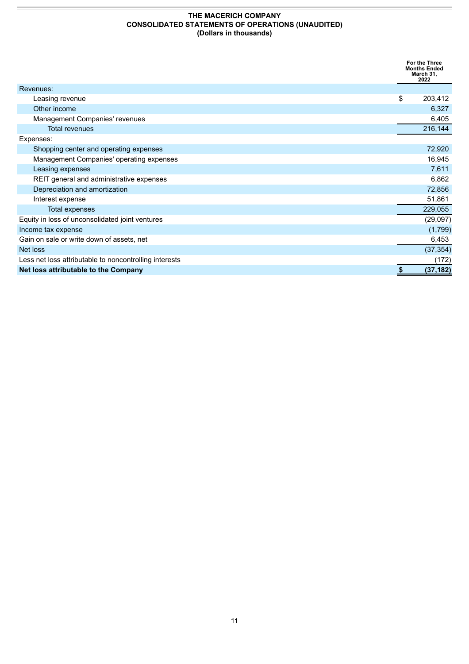#### **THE MACERICH COMPANY CONSOLIDATED STATEMENTS OF OPERATIONS (UNAUDITED) (Dollars in thousands)**

<span id="page-12-0"></span>

|                                                        | For the Three<br><b>Months Ended</b><br>March 31,<br>2022 |
|--------------------------------------------------------|-----------------------------------------------------------|
| Revenues:                                              |                                                           |
| Leasing revenue                                        | \$<br>203,412                                             |
| Other income                                           | 6,327                                                     |
| Management Companies' revenues                         | 6,405                                                     |
| <b>Total revenues</b>                                  | 216,144                                                   |
| Expenses:                                              |                                                           |
| Shopping center and operating expenses                 | 72,920                                                    |
| Management Companies' operating expenses               | 16,945                                                    |
| Leasing expenses                                       | 7,611                                                     |
| REIT general and administrative expenses               | 6,862                                                     |
| Depreciation and amortization                          | 72,856                                                    |
| Interest expense                                       | 51,861                                                    |
| <b>Total expenses</b>                                  | 229,055                                                   |
| Equity in loss of unconsolidated joint ventures        | (29,097)                                                  |
| Income tax expense                                     | (1,799)                                                   |
| Gain on sale or write down of assets, net              | 6,453                                                     |
| Net loss                                               | (37, 354)                                                 |
| Less net loss attributable to noncontrolling interests | (172)                                                     |
| Net loss attributable to the Company                   | \$<br>(37, 182)                                           |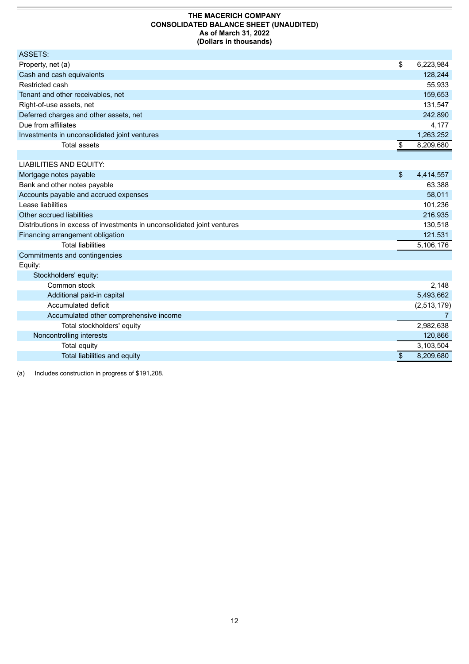#### **THE MACERICH COMPANY CONSOLIDATED BALANCE SHEET (UNAUDITED) As of March 31, 2022 (Dollars in thousands)**

<span id="page-13-0"></span>

| ASSETS:                                      |                 |
|----------------------------------------------|-----------------|
| Property, net (a)                            | \$<br>6,223,984 |
| Cash and cash equivalents                    | 128,244         |
| Restricted cash                              | 55,933          |
| Tenant and other receivables, net            | 159,653         |
| Right-of-use assets, net                     | 131,547         |
| Deferred charges and other assets, net       | 242,890         |
| Due from affiliates                          | 4,177           |
| Investments in unconsolidated joint ventures | 1,263,252       |
| Total assets                                 | 8,209,680       |
|                                              |                 |

| LIABILITIES AND EQUITY:                                                 |                 |
|-------------------------------------------------------------------------|-----------------|
| Mortgage notes payable                                                  | \$<br>4,414,557 |
| Bank and other notes payable                                            | 63,388          |
| Accounts payable and accrued expenses                                   | 58,011          |
| Lease liabilities                                                       | 101,236         |
| Other accrued liabilities                                               | 216,935         |
| Distributions in excess of investments in unconsolidated joint ventures | 130,518         |
| Financing arrangement obligation                                        | 121,531         |
| Total liabilities                                                       | 5,106,176       |
| Commitments and contingencies                                           |                 |

| Equity:               |  |
|-----------------------|--|
| Stockholders' equity: |  |

| $-100$                                 |             |
|----------------------------------------|-------------|
| Common stock                           | 2,148       |
| Additional paid-in capital             | 5,493,662   |
| Accumulated deficit                    | (2,513,179) |
| Accumulated other comprehensive income |             |
| Total stockholders' equity             | 2,982,638   |
| Noncontrolling interests               | 120,866     |
| Total equity                           | 3,103,504   |
| Total liabilities and equity           | 8,209,680   |
|                                        |             |

(a) Includes construction in progress of \$191,208.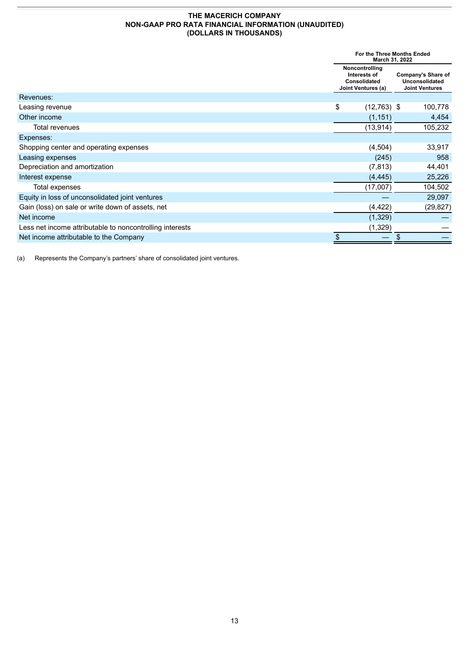#### **THE MACERICH COMPANY NON-GAAP PRO RATA FINANCIAL INFORMATION (UNAUDITED) (DOLLARS IN THOUSANDS)**

<span id="page-14-0"></span>

|                                                          |    | For the Three Months Ended<br>March 31, 2022                         |    |          |  |  |  |                                                                      |
|----------------------------------------------------------|----|----------------------------------------------------------------------|----|----------|--|--|--|----------------------------------------------------------------------|
|                                                          |    | Noncontrolling<br>Interests of<br>Consolidated<br>Joint Ventures (a) |    |          |  |  |  | <b>Company's Share of</b><br>Unconsolidated<br><b>Joint Ventures</b> |
| Revenues:                                                |    |                                                                      |    |          |  |  |  |                                                                      |
| Leasing revenue                                          | \$ | $(12,763)$ \$                                                        |    | 100,778  |  |  |  |                                                                      |
| Other income                                             |    | (1, 151)                                                             |    | 4,454    |  |  |  |                                                                      |
| Total revenues                                           |    | (13, 914)                                                            |    | 105,232  |  |  |  |                                                                      |
| Expenses:                                                |    |                                                                      |    |          |  |  |  |                                                                      |
| Shopping center and operating expenses                   |    | (4,504)                                                              |    | 33,917   |  |  |  |                                                                      |
| Leasing expenses                                         |    | (245)                                                                |    | 958      |  |  |  |                                                                      |
| Depreciation and amortization                            |    | (7, 813)                                                             |    | 44,401   |  |  |  |                                                                      |
| Interest expense                                         |    | (4, 445)                                                             |    | 25,226   |  |  |  |                                                                      |
| Total expenses                                           |    | (17,007)                                                             |    | 104,502  |  |  |  |                                                                      |
| Equity in loss of unconsolidated joint ventures          |    |                                                                      |    | 29,097   |  |  |  |                                                                      |
| Gain (loss) on sale or write down of assets, net         |    | (4, 422)                                                             |    | (29,827) |  |  |  |                                                                      |
| Net income                                               |    | (1,329)                                                              |    |          |  |  |  |                                                                      |
| Less net income attributable to noncontrolling interests |    | (1,329)                                                              |    |          |  |  |  |                                                                      |
| Net income attributable to the Company                   | \$ |                                                                      | \$ |          |  |  |  |                                                                      |

(a) Represents the Company's partners' share of consolidated joint ventures.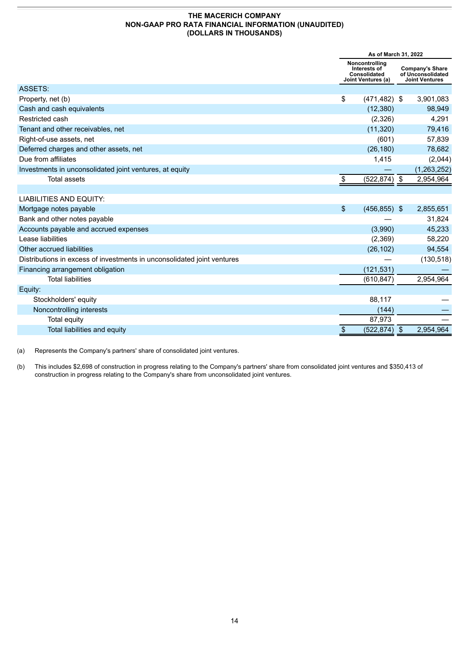#### **THE MACERICH COMPANY NON-GAAP PRO RATA FINANCIAL INFORMATION (UNAUDITED) (DOLLARS IN THOUSANDS)**

|                                                                         | As of March 31, 2022 |                                                                      |    |                                                                      |
|-------------------------------------------------------------------------|----------------------|----------------------------------------------------------------------|----|----------------------------------------------------------------------|
|                                                                         |                      | Noncontrolling<br>Interests of<br>Consolidated<br>Joint Ventures (a) |    | <b>Company's Share</b><br>of Unconsolidated<br><b>Joint Ventures</b> |
| ASSETS:                                                                 |                      |                                                                      |    |                                                                      |
| Property, net (b)                                                       | \$                   | $(471, 482)$ \$                                                      |    | 3,901,083                                                            |
| Cash and cash equivalents                                               |                      | (12, 380)                                                            |    | 98,949                                                               |
| Restricted cash                                                         |                      | (2,326)                                                              |    | 4,291                                                                |
| Tenant and other receivables, net                                       |                      | (11, 320)                                                            |    | 79,416                                                               |
| Right-of-use assets, net                                                |                      | (601)                                                                |    | 57,839                                                               |
| Deferred charges and other assets, net                                  |                      | (26, 180)                                                            |    | 78,682                                                               |
| Due from affiliates                                                     |                      | 1,415                                                                |    | (2,044)                                                              |
| Investments in unconsolidated joint ventures, at equity                 |                      |                                                                      |    | (1,263,252)                                                          |
| <b>Total assets</b>                                                     | \$                   | $(522, 874)$ \$                                                      |    | 2,954,964                                                            |
|                                                                         |                      |                                                                      |    |                                                                      |
| <b>LIABILITIES AND EQUITY:</b>                                          |                      |                                                                      |    |                                                                      |
| Mortgage notes payable                                                  | $\mathbb{S}$         | $(456, 855)$ \$                                                      |    | 2,855,651                                                            |
| Bank and other notes payable                                            |                      |                                                                      |    | 31,824                                                               |
| Accounts payable and accrued expenses                                   |                      | (3,990)                                                              |    | 45,233                                                               |
| Lease liabilities                                                       |                      | (2,369)                                                              |    | 58,220                                                               |
| Other accrued liabilities                                               |                      | (26, 102)                                                            |    | 94,554                                                               |
| Distributions in excess of investments in unconsolidated joint ventures |                      |                                                                      |    | (130, 518)                                                           |
| Financing arrangement obligation                                        |                      | (121, 531)                                                           |    |                                                                      |
| <b>Total liabilities</b>                                                |                      | (610, 847)                                                           |    | 2,954,964                                                            |
| Equity:                                                                 |                      |                                                                      |    |                                                                      |
| Stockholders' equity                                                    |                      | 88,117                                                               |    |                                                                      |
| Noncontrolling interests                                                |                      | (144)                                                                |    |                                                                      |
| Total equity                                                            |                      | 87,973                                                               |    |                                                                      |
| Total liabilities and equity                                            | \$                   | (522, 874)                                                           | \$ | 2,954,964                                                            |

(a) Represents the Company's partners' share of consolidated joint ventures.

(b) This includes \$2,698 of construction in progress relating to the Company's partners' share from consolidated joint ventures and \$350,413 of construction in progress relating to the Company's share from unconsolidated joint ventures.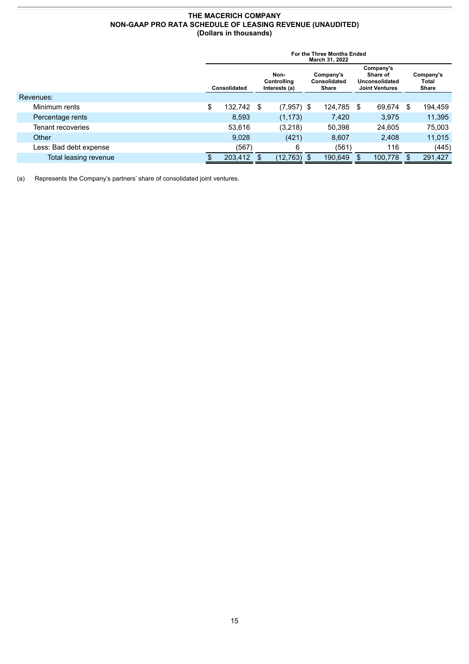#### **THE MACERICH COMPANY NON-GAAP PRO RATA SCHEDULE OF LEASING REVENUE (UNAUDITED) (Dollars in thousands)**

|                        | For the Three Months Ended<br>March 31, 2022                                                      |            |  |               |  |                                                                  |      |                                    |     |         |
|------------------------|---------------------------------------------------------------------------------------------------|------------|--|---------------|--|------------------------------------------------------------------|------|------------------------------------|-----|---------|
|                        | Non-<br>Company's<br>Consolidated<br>Controlling<br>Consolidated<br>Interests (a)<br><b>Share</b> |            |  |               |  | Company's<br>Share of<br>Unconsolidated<br><b>Joint Ventures</b> |      | Company's<br>Total<br><b>Share</b> |     |         |
| Revenues:              |                                                                                                   |            |  |               |  |                                                                  |      |                                    |     |         |
| Minimum rents          | \$                                                                                                | 132,742 \$ |  | $(7,957)$ \$  |  | 124,785                                                          | - \$ | 69,674                             | \$  | 194,459 |
| Percentage rents       |                                                                                                   | 8.593      |  | (1, 173)      |  | 7,420                                                            |      | 3.975                              |     | 11,395  |
| Tenant recoveries      |                                                                                                   | 53,616     |  | (3,218)       |  | 50,398                                                           |      | 24,605                             |     | 75,003  |
| Other                  |                                                                                                   | 9,028      |  | (421)         |  | 8,607                                                            |      | 2,408                              |     | 11,015  |
| Less: Bad debt expense |                                                                                                   | (567)      |  | 6             |  | (561)                                                            |      | 116                                |     | (445)   |
| Total leasing revenue  |                                                                                                   | 203,412    |  | $(12,763)$ \$ |  | 190,649                                                          |      | 100,778                            | \$. | 291,427 |

(a) Represents the Company's partners' share of consolidated joint ventures.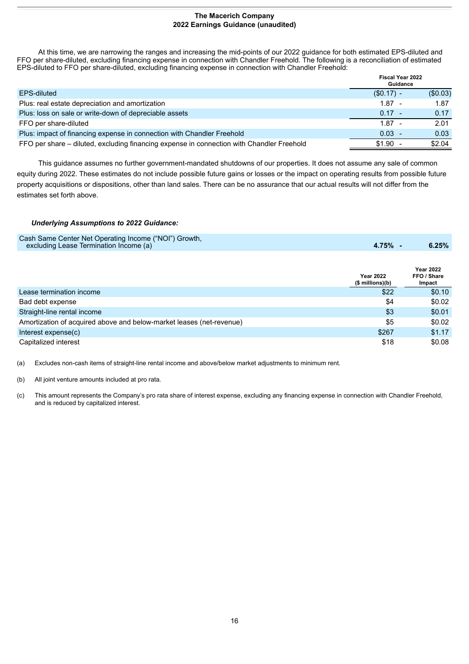#### **The Macerich Company 2022 Earnings Guidance (unaudited)**

<span id="page-17-0"></span>At this time, we are narrowing the ranges and increasing the mid-points of our 2022 guidance for both estimated EPS-diluted and FFO per share-diluted, excluding financing expense in connection with Chandler Freehold. The following is a reconciliation of estimated EPS-diluted to FFO per share-diluted, excluding financing expense in connection with Chandler Freehold:

|                                                                                           | <b>Fiscal Year 2022</b><br>Guidance |         |
|-------------------------------------------------------------------------------------------|-------------------------------------|---------|
| <b>EPS-diluted</b>                                                                        | $(S0.17) -$                         | (S0.03) |
| Plus: real estate depreciation and amortization                                           | $1.87 -$                            | 1.87    |
| Plus: loss on sale or write-down of depreciable assets                                    | $0.17 -$                            | 0.17    |
| FFO per share-diluted                                                                     | $1.87 -$                            | 2.01    |
| Plus: impact of financing expense in connection with Chandler Freehold                    | $0.03 -$                            | 0.03    |
| FFO per share – diluted, excluding financing expense in connection with Chandler Freehold | \$1.90                              | \$2.04  |

This guidance assumes no further government-mandated shutdowns of our properties. It does not assume any sale of common equity during 2022. These estimates do not include possible future gains or losses or the impact on operating results from possible future property acquisitions or dispositions, other than land sales. There can be no assurance that our actual results will not differ from the estimates set forth above.

#### *Underlying Assumptions to 2022 Guidance:*

| Cash Same Center Net Operating Income ("NOI") Growth, |       |       |
|-------------------------------------------------------|-------|-------|
| excluding Lease Termination Income (a)                | 4.75% | 6.25% |

|                                                                      | <b>Year 2022</b><br>(\$ millions)(b) | <b>Year 2022</b><br>FFO / Share<br>Impact |
|----------------------------------------------------------------------|--------------------------------------|-------------------------------------------|
| Lease termination income                                             | \$22                                 | \$0.10                                    |
| Bad debt expense                                                     | \$4                                  | \$0.02                                    |
| Straight-line rental income                                          | \$3                                  | \$0.01                                    |
| Amortization of acquired above and below-market leases (net-revenue) | \$5                                  | \$0.02                                    |
| Interest $expense(c)$                                                | \$267                                | \$1.17                                    |
| Capitalized interest                                                 | \$18                                 | \$0.08                                    |

(a) Excludes non-cash items of straight-line rental income and above/below market adjustments to minimum rent.

(b) All joint venture amounts included at pro rata.

(c) This amount represents the Company's pro rata share of interest expense, excluding any financing expense in connection with Chandler Freehold, and is reduced by capitalized interest.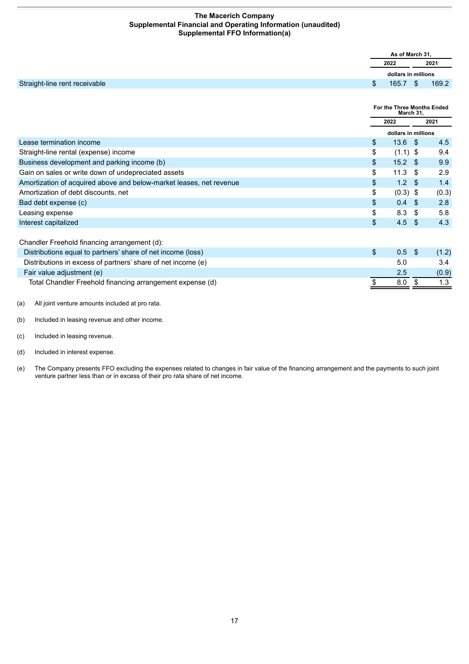#### **The Macerich Company Supplemental Financial and Operating Information (unaudited) Supplemental FFO Information(a)**

<span id="page-18-0"></span>

|                               |                | As of March 31.     |       |
|-------------------------------|----------------|---------------------|-------|
|                               |                | 2022                | 2021  |
|                               |                | dollars in millions |       |
| Straight-line rent receivable | $\mathfrak{L}$ | $165.7$ \$          | 169.2 |

|                                                                     | For the Three Months Ended<br>March 31, |                     |      |       |
|---------------------------------------------------------------------|-----------------------------------------|---------------------|------|-------|
|                                                                     |                                         | 2022                |      | 2021  |
|                                                                     |                                         | dollars in millions |      |       |
| Lease termination income                                            | \$                                      | 13.6                | - \$ | 4.5   |
| Straight-line rental (expense) income                               | \$                                      | $(1.1)$ \$          |      | 9.4   |
| Business development and parking income (b)                         | \$                                      | 15.2 <sup>5</sup>   |      | 9.9   |
| Gain on sales or write down of undepreciated assets                 | \$                                      | 11.3                | - \$ | 2.9   |
| Amortization of acquired above and below-market leases, net revenue | \$                                      | 1.2 <sub>2</sub>    | - \$ | 1.4   |
| Amortization of debt discounts, net                                 | \$                                      | $(0.3)$ \$          |      | (0.3) |
| Bad debt expense (c)                                                | \$                                      | 0.4                 | - \$ | 2.8   |
| Leasing expense                                                     | \$                                      | 8.3                 | - \$ | 5.8   |
| Interest capitalized                                                | \$                                      | 4.5                 | -\$  | 4.3   |
| Chandler Freehold financing arrangement (d):                        |                                         |                     |      |       |
| Distributions equal to partners' share of net income (loss)         | \$                                      | 0.5                 | -S   | (1.2) |
| Distributions in excess of partners' share of net income (e)        |                                         | 5.0                 |      | 3.4   |
| Fair value adjustment (e)                                           |                                         | 2.5                 |      | (0.9) |
| Total Chandler Freehold financing arrangement expense (d)           |                                         | 8.0                 |      | 1.3   |

(a) All joint venture amounts included at pro rata.

(b) Included in leasing revenue and other income.

- (c) Included in leasing revenue.
- (d) Included in interest expense.
- (e) The Company presents FFO excluding the expenses related to changes in fair value of the financing arrangement and the payments to such joint venture partner less than or in excess of their pro rata share of net income.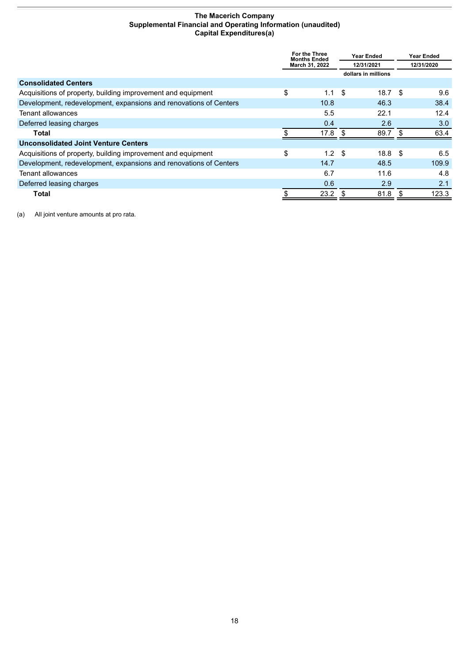#### **The Macerich Company Supplemental Financial and Operating Information (unaudited) Capital Expenditures(a)**

<span id="page-19-0"></span>

|                                                                   | For the Three<br><b>Months Ended</b><br>March 31, 2022 |                  | <b>Year Ended</b><br>12/31/2021 |                     |     |       |            |  |  |  |  |  |  |  | <b>Year Ended</b> |  |  |
|-------------------------------------------------------------------|--------------------------------------------------------|------------------|---------------------------------|---------------------|-----|-------|------------|--|--|--|--|--|--|--|-------------------|--|--|
|                                                                   |                                                        |                  |                                 |                     |     |       | 12/31/2020 |  |  |  |  |  |  |  |                   |  |  |
|                                                                   |                                                        |                  |                                 | dollars in millions |     |       |            |  |  |  |  |  |  |  |                   |  |  |
| <b>Consolidated Centers</b>                                       |                                                        |                  |                                 |                     |     |       |            |  |  |  |  |  |  |  |                   |  |  |
| Acquisitions of property, building improvement and equipment      | \$                                                     | 1.1              | - \$                            | 18.7 <sup>5</sup>   |     | 9.6   |            |  |  |  |  |  |  |  |                   |  |  |
| Development, redevelopment, expansions and renovations of Centers |                                                        | 10.8             |                                 | 46.3                |     | 38.4  |            |  |  |  |  |  |  |  |                   |  |  |
| Tenant allowances                                                 |                                                        | 5.5              |                                 | 22.1                |     | 12.4  |            |  |  |  |  |  |  |  |                   |  |  |
| Deferred leasing charges                                          |                                                        | 0.4              |                                 | 2.6                 |     | 3.0   |            |  |  |  |  |  |  |  |                   |  |  |
| Total                                                             |                                                        | 17.8             | \$.                             | 89.7                | \$. | 63.4  |            |  |  |  |  |  |  |  |                   |  |  |
| <b>Unconsolidated Joint Venture Centers</b>                       |                                                        |                  |                                 |                     |     |       |            |  |  |  |  |  |  |  |                   |  |  |
| Acquisitions of property, building improvement and equipment      | \$                                                     | 1.2 <sup>5</sup> |                                 | 18.8 <sup>5</sup>   |     | 6.5   |            |  |  |  |  |  |  |  |                   |  |  |
| Development, redevelopment, expansions and renovations of Centers |                                                        | 14.7             |                                 | 48.5                |     | 109.9 |            |  |  |  |  |  |  |  |                   |  |  |
| Tenant allowances                                                 |                                                        | 6.7              |                                 | 11.6                |     | 4.8   |            |  |  |  |  |  |  |  |                   |  |  |
| Deferred leasing charges                                          |                                                        | 0.6              |                                 | 2.9                 |     | 2.1   |            |  |  |  |  |  |  |  |                   |  |  |
| Total                                                             |                                                        | 23.2             |                                 | 81.8                | S   | 123.3 |            |  |  |  |  |  |  |  |                   |  |  |

(a) All joint venture amounts at pro rata.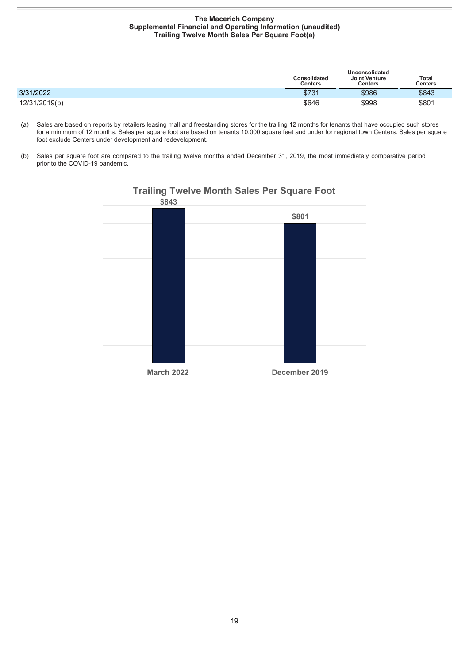#### **The Macerich Company Supplemental Financial and Operating Information (unaudited) Trailing Twelve Month Sales Per Square Foot(a)**

<span id="page-20-0"></span>

|               | Consolidated<br>Centers | Unconsolidated<br><b>Joint Venture</b><br>Centers | <b>Total</b><br><b>Centers</b> |
|---------------|-------------------------|---------------------------------------------------|--------------------------------|
| 3/31/2022     | \$731                   | \$986                                             | \$843                          |
| 12/31/2019(b) | \$646                   | \$998                                             | \$801                          |

- (a) Sales are based on reports by retailers leasing mall and freestanding stores for the trailing 12 months for tenants that have occupied such stores for a minimum of 12 months. Sales per square foot are based on tenants 10,000 square feet and under for regional town Centers. Sales per square foot exclude Centers under development and redevelopment.
- (b) Sales per square foot are compared to the trailing twelve months ended December 31, 2019, the most immediately comparative period prior to the COVID-19 pandemic.



# **Trailing Twelve Month Sales Per Square Foot**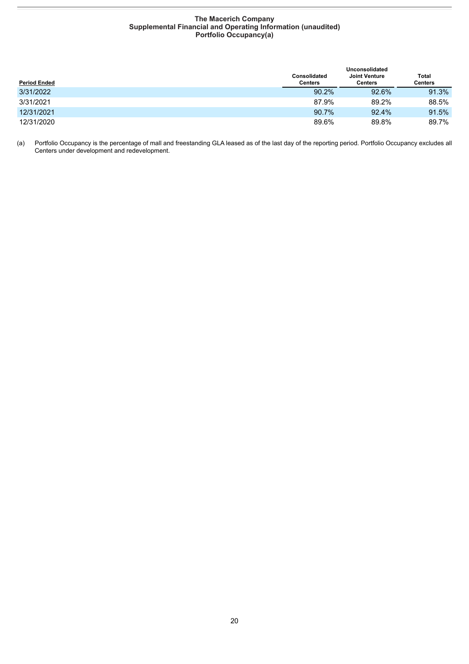#### **The Macerich Company Supplemental Financial and Operating Information (unaudited) Portfolio Occupancy(a)**

<span id="page-21-0"></span>

|                     | Unconsolidated          |                                 |                  |  |
|---------------------|-------------------------|---------------------------------|------------------|--|
| <b>Period Ended</b> | Consolidated<br>Centers | <b>Joint Venture</b><br>Centers | Total<br>Centers |  |
| 3/31/2022           | 90.2%                   | 92.6%                           | 91.3%            |  |
| 3/31/2021           | 87.9%                   | 89.2%                           | 88.5%            |  |
| 12/31/2021          | 90.7%                   | 92.4%                           | 91.5%            |  |
| 12/31/2020          | 89.6%                   | 89.8%                           | 89.7%            |  |

(a) Portfolio Occupancy is the percentage of mall and freestanding GLA leased as of the last day of the reporting period. Portfolio Occupancy excludes all Centers under development and redevelopment.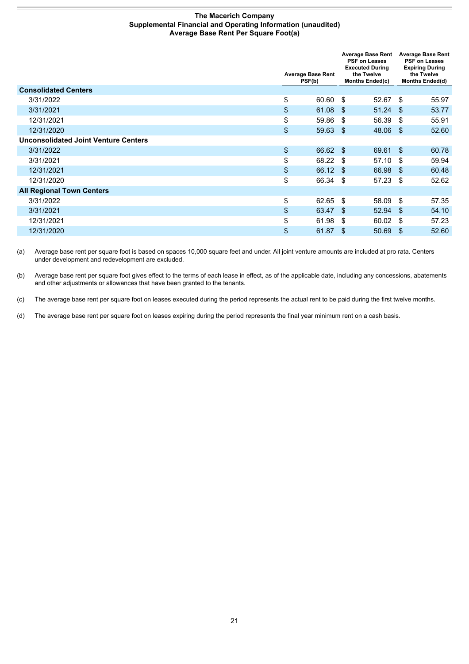#### **The Macerich Company Supplemental Financial and Operating Information (unaudited) Average Base Rent Per Square Foot(a)**

<span id="page-22-0"></span>

|                                             |                                    |                                      | <b>Average Base Rent</b><br><b>PSF on Leases</b><br><b>Executed During</b> |                                      | <b>Average Base Rent</b><br><b>PSF on Leases</b><br><b>Expiring During</b> |
|---------------------------------------------|------------------------------------|--------------------------------------|----------------------------------------------------------------------------|--------------------------------------|----------------------------------------------------------------------------|
|                                             | <b>Average Base Rent</b><br>PSF(b) | the Twelve<br><b>Months Ended(c)</b> |                                                                            | the Twelve<br><b>Months Ended(d)</b> |                                                                            |
| <b>Consolidated Centers</b>                 |                                    |                                      |                                                                            |                                      |                                                                            |
| 3/31/2022                                   | \$<br>60.60 \$                     |                                      | $52.67$ \$                                                                 |                                      | 55.97                                                                      |
| 3/31/2021                                   | \$<br>$61.08$ \$                   |                                      | $51.24$ \$                                                                 |                                      | 53.77                                                                      |
| 12/31/2021                                  | \$<br>59.86                        | - \$                                 | 56.39                                                                      | \$                                   | 55.91                                                                      |
| 12/31/2020                                  | \$<br>$59.63$ \$                   |                                      | 48.06 \$                                                                   |                                      | 52.60                                                                      |
| <b>Unconsolidated Joint Venture Centers</b> |                                    |                                      |                                                                            |                                      |                                                                            |
| 3/31/2022                                   | \$<br>66.62 \$                     |                                      | 69.61 \$                                                                   |                                      | 60.78                                                                      |
| 3/31/2021                                   | \$<br>68.22                        | - \$                                 | 57.10                                                                      | \$                                   | 59.94                                                                      |
| 12/31/2021                                  | \$<br>66.12 \$                     |                                      | 66.98                                                                      | \$                                   | 60.48                                                                      |
| 12/31/2020                                  | \$<br>66.34 \$                     |                                      | 57.23                                                                      | \$                                   | 52.62                                                                      |
| <b>All Regional Town Centers</b>            |                                    |                                      |                                                                            |                                      |                                                                            |
| 3/31/2022                                   | \$<br>62.65 \$                     |                                      | 58.09                                                                      | \$                                   | 57.35                                                                      |
| 3/31/2021                                   | \$<br>63.47 \$                     |                                      | 52.94                                                                      | - \$                                 | 54.10                                                                      |
| 12/31/2021                                  | \$<br>61.98                        | -\$                                  | 60.02                                                                      | \$                                   | 57.23                                                                      |
| 12/31/2020                                  | \$<br>61.87 \$                     |                                      | 50.69                                                                      | -\$                                  | 52.60                                                                      |

(a) Average base rent per square foot is based on spaces 10,000 square feet and under. All joint venture amounts are included at pro rata. Centers under development and redevelopment are excluded.

(b) Average base rent per square foot gives effect to the terms of each lease in effect, as of the applicable date, including any concessions, abatements and other adjustments or allowances that have been granted to the tenants.

(c) The average base rent per square foot on leases executed during the period represents the actual rent to be paid during the first twelve months.

(d) The average base rent per square foot on leases expiring during the period represents the final year minimum rent on a cash basis.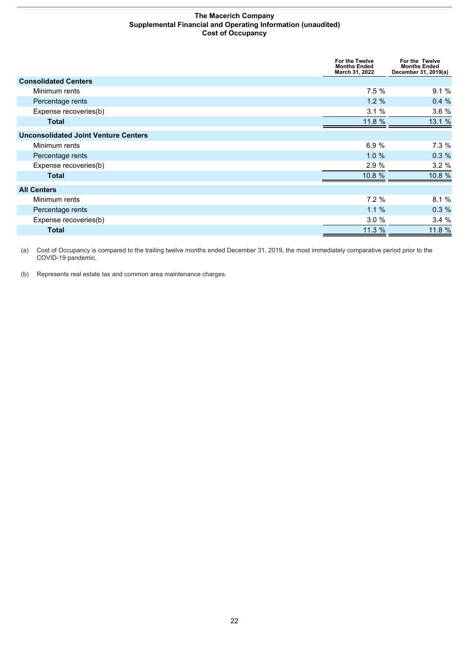#### **The Macerich Company Supplemental Financial and Operating Information (unaudited) Cost of Occupancy**

<span id="page-23-0"></span>

|                                             | For the Twelve<br><b>Months Ended</b><br>March 31, 2022 | For the Twelve<br><b>Months Ended</b><br>December 31, 2019(a) |
|---------------------------------------------|---------------------------------------------------------|---------------------------------------------------------------|
| <b>Consolidated Centers</b>                 |                                                         |                                                               |
| Minimum rents                               | 7.5%                                                    | 9.1%                                                          |
| Percentage rents                            | $1.2 \%$                                                | 0.4%                                                          |
| Expense recoveries(b)                       | 3.1%                                                    | 3.6%                                                          |
| <b>Total</b>                                | 11.8 %                                                  | 13.1 %                                                        |
| <b>Unconsolidated Joint Venture Centers</b> |                                                         |                                                               |
| Minimum rents                               | 6.9%                                                    | 7.3%                                                          |
| Percentage rents                            | $1.0 \%$                                                | 0.3%                                                          |
| Expense recoveries(b)                       | 2.9%                                                    | 3.2%                                                          |
| <b>Total</b>                                | 10.8 %                                                  | 10.8 %                                                        |
| <b>All Centers</b>                          |                                                         |                                                               |
| Minimum rents                               | 7.2%                                                    | 8.1%                                                          |
| Percentage rents                            | $1.1 \%$                                                | 0.3%                                                          |
| Expense recoveries(b)                       | 3.0%                                                    | 3.4%                                                          |
| <b>Total</b>                                | 11.3 %                                                  | 11.8 %                                                        |

(a) Cost of Occupancy is compared to the trailing twelve months ended December 31, 2019, the most immediately comparative period prior to the COVID-19 pandemic.

(b) Represents real estate tax and common area maintenance charges.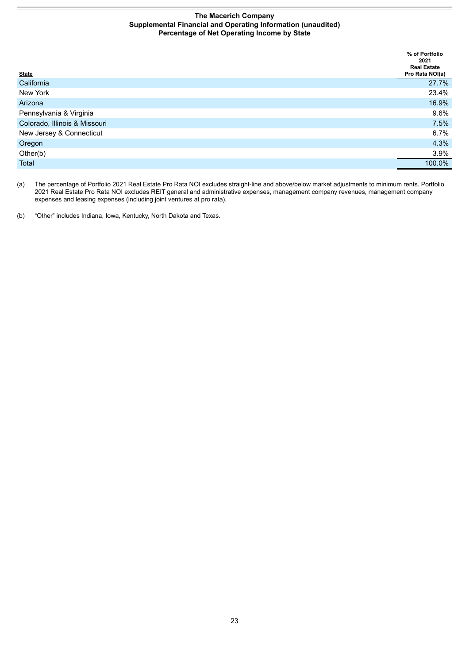#### **The Macerich Company Supplemental Financial and Operating Information (unaudited) Percentage of Net Operating Income by State**

<span id="page-24-0"></span>

|                               | % of Portfolio<br>2021<br><b>Real Estate</b> |
|-------------------------------|----------------------------------------------|
| <b>State</b>                  | Pro Rata NOI(a)                              |
| California                    | 27.7%                                        |
| New York                      | 23.4%                                        |
| Arizona                       | 16.9%                                        |
| Pennsylvania & Virginia       | 9.6%                                         |
| Colorado, Illinois & Missouri | 7.5%                                         |
| New Jersey & Connecticut      | 6.7%                                         |
| Oregon                        | 4.3%                                         |
| Other(b)                      | 3.9%                                         |
| Total                         | 100.0%                                       |

(a) The percentage of Portfolio 2021 Real Estate Pro Rata NOI excludes straight-line and above/below market adjustments to minimum rents. Portfolio 2021 Real Estate Pro Rata NOI excludes REIT general and administrative expenses, management company revenues, management company expenses and leasing expenses (including joint ventures at pro rata).

(b) "Other" includes Indiana, Iowa, Kentucky, North Dakota and Texas.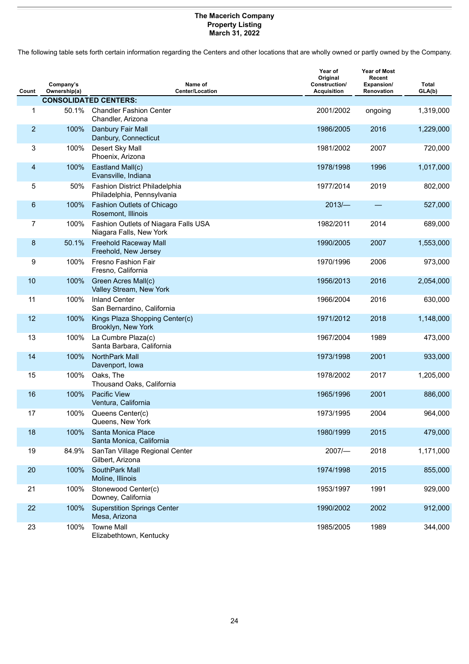#### **The Macerich Company Property Listing March 31, 2022**

<span id="page-25-0"></span>The following table sets forth certain information regarding the Centers and other locations that are wholly owned or partly owned by the Company.

| Count          | Company's<br>Ownership(a) | Name of<br><b>Center/Location</b>                                  | Year of<br>Original<br>Construction/<br><b>Acquisition</b> | <b>Year of Most</b><br>Recent<br>Expansion/<br>Renovation | <b>Total</b><br>GLA(b) |
|----------------|---------------------------|--------------------------------------------------------------------|------------------------------------------------------------|-----------------------------------------------------------|------------------------|
|                |                           | <b>CONSOLIDATED CENTERS:</b>                                       |                                                            |                                                           |                        |
| 1              | 50.1%                     | <b>Chandler Fashion Center</b><br>Chandler, Arizona                | 2001/2002                                                  | ongoing                                                   | 1,319,000              |
| $\overline{2}$ | 100%                      | Danbury Fair Mall<br>Danbury, Connecticut                          | 1986/2005                                                  | 2016                                                      | 1,229,000              |
| 3              | 100%                      | Desert Sky Mall<br>Phoenix, Arizona                                | 1981/2002                                                  | 2007                                                      | 720,000                |
| 4              | 100%                      | Eastland Mall(c)<br>Evansville, Indiana                            | 1978/1998                                                  | 1996                                                      | 1,017,000              |
| 5              | 50%                       | <b>Fashion District Philadelphia</b><br>Philadelphia, Pennsylvania | 1977/2014                                                  | 2019                                                      | 802,000                |
| 6              | 100%                      | Fashion Outlets of Chicago<br>Rosemont, Illinois                   | $2013/-$                                                   |                                                           | 527,000                |
| $\overline{7}$ | 100%                      | Fashion Outlets of Niagara Falls USA<br>Niagara Falls, New York    | 1982/2011                                                  | 2014                                                      | 689,000                |
| 8              | 50.1%                     | <b>Freehold Raceway Mall</b><br>Freehold, New Jersey               | 1990/2005                                                  | 2007                                                      | 1,553,000              |
| 9              | 100%                      | Fresno Fashion Fair<br>Fresno, California                          | 1970/1996                                                  | 2006                                                      | 973,000                |
| 10             | 100%                      | Green Acres Mall(c)<br>Valley Stream, New York                     | 1956/2013                                                  | 2016                                                      | 2,054,000              |
| 11             | 100%                      | <b>Inland Center</b><br>San Bernardino, California                 | 1966/2004                                                  | 2016                                                      | 630,000                |
| 12             | 100%                      | Kings Plaza Shopping Center(c)<br>Brooklyn, New York               | 1971/2012                                                  | 2018                                                      | 1,148,000              |
| 13             | 100%                      | La Cumbre Plaza(c)<br>Santa Barbara, California                    | 1967/2004                                                  | 1989                                                      | 473,000                |
| 14             | 100%                      | NorthPark Mall<br>Davenport, Iowa                                  | 1973/1998                                                  | 2001                                                      | 933,000                |
| 15             | 100%                      | Oaks, The<br>Thousand Oaks, California                             | 1978/2002                                                  | 2017                                                      | 1,205,000              |
| 16             | 100%                      | <b>Pacific View</b><br>Ventura, California                         | 1965/1996                                                  | 2001                                                      | 886,000                |
| 17             | 100%                      | Queens Center(c)<br>Queens, New York                               | 1973/1995                                                  | 2004                                                      | 964,000                |
| 18             | 100%                      | Santa Monica Place<br>Santa Monica, California                     | 1980/1999                                                  | 2015                                                      | 479,000                |
| 19             | 84.9%                     | SanTan Village Regional Center<br>Gilbert, Arizona                 | $2007$ /-                                                  | 2018                                                      | 1,171,000              |
| 20             | 100%                      | SouthPark Mall<br>Moline, Illinois                                 | 1974/1998                                                  | 2015                                                      | 855,000                |
| 21             | 100%                      | Stonewood Center(c)<br>Downey, California                          | 1953/1997                                                  | 1991                                                      | 929,000                |
| 22             | 100%                      | <b>Superstition Springs Center</b><br>Mesa, Arizona                | 1990/2002                                                  | 2002                                                      | 912,000                |
| 23             | 100%                      | <b>Towne Mall</b><br>Elizabethtown, Kentucky                       | 1985/2005                                                  | 1989                                                      | 344,000                |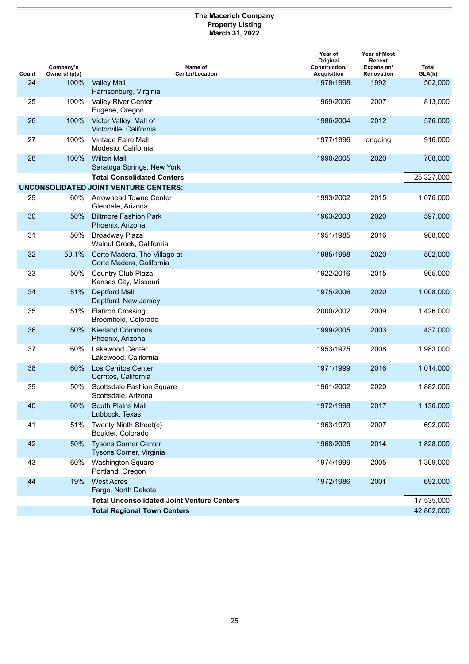#### **The Macerich Company Property Listing March 31, 2022**

| Count | Company's<br>Ownership(a) | Name of<br><b>Center/Location</b>                        | Year of<br>Original<br>Construction/<br><b>Acquisition</b> | <b>Year of Most</b><br>Recent<br>Expansion/<br>Renovation | <b>Total</b><br>GLA(b) |
|-------|---------------------------|----------------------------------------------------------|------------------------------------------------------------|-----------------------------------------------------------|------------------------|
| 24    | 100%                      | <b>Valley Mall</b><br>Harrisonburg, Virginia             | 1978/1998                                                  | 1992                                                      | 502,000                |
| 25    | 100%                      | Valley River Center<br>Eugene, Oregon                    | 1969/2006                                                  | 2007                                                      | 813,000                |
| 26    | 100%                      | Victor Valley, Mall of<br>Victorville, California        | 1986/2004                                                  | 2012                                                      | 576,000                |
| 27    | 100%                      | Vintage Faire Mall<br>Modesto, California                | 1977/1996                                                  | ongoing                                                   | 916,000                |
| 28    | 100%                      | <b>Wilton Mall</b><br>Saratoga Springs, New York         | 1990/2005                                                  | 2020                                                      | 708,000                |
|       |                           | <b>Total Consolidated Centers</b>                        |                                                            |                                                           | 25,327,000             |
|       |                           | <b>UNCONSOLIDATED JOINT VENTURE CENTERS:</b>             |                                                            |                                                           |                        |
| 29    | 60%                       | Arrowhead Towne Center<br>Glendale, Arizona              | 1993/2002                                                  | 2015                                                      | 1,076,000              |
| 30    | 50%                       | <b>Biltmore Fashion Park</b><br>Phoenix, Arizona         | 1963/2003                                                  | 2020                                                      | 597,000                |
| 31    | 50%                       | <b>Broadway Plaza</b><br>Walnut Creek, California        | 1951/1985                                                  | 2016                                                      | 988,000                |
| 32    | 50.1%                     | Corte Madera, The Village at<br>Corte Madera, California | 1985/1998                                                  | 2020                                                      | 502,000                |
| 33    | 50%                       | Country Club Plaza<br>Kansas City, Missouri              | 1922/2016                                                  | 2015                                                      | 965,000                |
| 34    | 51%                       | <b>Deptford Mall</b><br>Deptford, New Jersey             | 1975/2006                                                  | 2020                                                      | 1,008,000              |
| 35    | 51%                       | <b>Flatiron Crossing</b><br>Broomfield, Colorado         | 2000/2002                                                  | 2009                                                      | 1,426,000              |
| 36    | 50%                       | <b>Kierland Commons</b><br>Phoenix, Arizona              | 1999/2005                                                  | 2003                                                      | 437,000                |
| 37    | 60%                       | <b>Lakewood Center</b><br>Lakewood, California           | 1953/1975                                                  | 2008                                                      | 1,983,000              |
| 38    | 60%                       | <b>Los Cerritos Center</b><br>Cerritos, California       | 1971/1999                                                  | 2016                                                      | 1,014,000              |
| 39    | 50%                       | Scottsdale Fashion Square<br>Scottsdale, Arizona         | 1961/2002                                                  | 2020                                                      | 1,882,000              |
| 40    |                           | 60% South Plains Mall<br>Lubbock, Texas                  | 1972/1998                                                  | 2017                                                      | 1,136,000              |
| 41    | 51%                       | Twenty Ninth Street(c)<br>Boulder, Colorado              | 1963/1979                                                  | 2007                                                      | 692,000                |
| 42    | 50%                       | <b>Tysons Corner Center</b><br>Tysons Corner, Virginia   | 1968/2005                                                  | 2014                                                      | 1,828,000              |
| 43    | 60%                       | <b>Washington Square</b><br>Portland, Oregon             | 1974/1999                                                  | 2005                                                      | 1,309,000              |
| 44    | 19%                       | <b>West Acres</b><br>Fargo, North Dakota                 | 1972/1986                                                  | 2001                                                      | 692,000                |
|       |                           | <b>Total Unconsolidated Joint Venture Centers</b>        |                                                            |                                                           | 17,535,000             |
|       |                           | <b>Total Regional Town Centers</b>                       |                                                            |                                                           | 42,862,000             |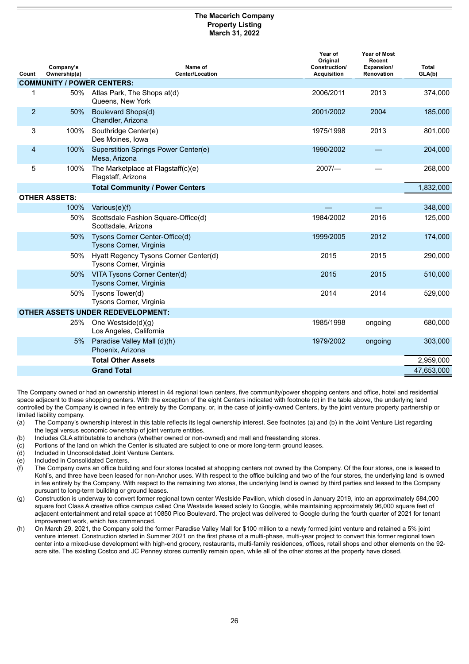#### **The Macerich Company Property Listing March 31, 2022**

| Count          | Company's<br>Ownership(a)         | Name of<br><b>Center/Location</b>                                | Year of<br>Original<br>Construction/<br><b>Acquisition</b> | <b>Year of Most</b><br>Recent<br>Expansion/<br>Renovation | <b>Total</b><br>GLA(b) |
|----------------|-----------------------------------|------------------------------------------------------------------|------------------------------------------------------------|-----------------------------------------------------------|------------------------|
|                | <b>COMMUNITY / POWER CENTERS:</b> |                                                                  |                                                            |                                                           |                        |
| 1              |                                   | 50% Atlas Park, The Shops at(d)<br>Queens, New York              | 2006/2011                                                  | 2013                                                      | 374,000                |
| $\overline{2}$ | 50%                               | Boulevard Shops(d)<br>Chandler, Arizona                          | 2001/2002                                                  | 2004                                                      | 185,000                |
| 3              | 100%                              | Southridge Center(e)<br>Des Moines, Iowa                         | 1975/1998                                                  | 2013                                                      | 801,000                |
| 4              | 100%                              | Superstition Springs Power Center(e)<br>Mesa, Arizona            | 1990/2002                                                  |                                                           | 204,000                |
| 5              | 100%                              | The Marketplace at Flagstaff(c)(e)<br>Flagstaff, Arizona         | 2007/                                                      |                                                           | 268,000                |
|                |                                   | <b>Total Community / Power Centers</b>                           |                                                            |                                                           | 1,832,000              |
|                | <b>OTHER ASSETS:</b>              |                                                                  |                                                            |                                                           |                        |
|                | 100%                              | Various(e)(f)                                                    |                                                            |                                                           | 348,000                |
|                | 50%                               | Scottsdale Fashion Square-Office(d)<br>Scottsdale, Arizona       | 1984/2002                                                  | 2016                                                      | 125,000                |
|                | 50%                               | Tysons Corner Center-Office(d)<br>Tysons Corner, Virginia        | 1999/2005                                                  | 2012                                                      | 174,000                |
|                | 50%                               | Hyatt Regency Tysons Corner Center(d)<br>Tysons Corner, Virginia | 2015                                                       | 2015                                                      | 290,000                |
|                | 50%                               | VITA Tysons Corner Center(d)<br>Tysons Corner, Virginia          | 2015                                                       | 2015                                                      | 510,000                |
|                | 50%                               | Tysons Tower(d)<br>Tysons Corner, Virginia                       | 2014                                                       | 2014                                                      | 529,000                |
|                |                                   | <b>OTHER ASSETS UNDER REDEVELOPMENT:</b>                         |                                                            |                                                           |                        |
|                | 25%                               | One Westside(d)(g)<br>Los Angeles, California                    | 1985/1998                                                  | ongoing                                                   | 680,000                |
|                | 5%                                | Paradise Valley Mall (d)(h)<br>Phoenix, Arizona                  | 1979/2002                                                  | ongoing                                                   | 303,000                |
|                |                                   | <b>Total Other Assets</b>                                        |                                                            |                                                           | 2,959,000              |
|                |                                   | <b>Grand Total</b>                                               |                                                            |                                                           | 47,653,000             |

The Company owned or had an ownership interest in 44 regional town centers, five community/power shopping centers and office, hotel and residential space adjacent to these shopping centers. With the exception of the eight Centers indicated with footnote (c) in the table above, the underlying land controlled by the Company is owned in fee entirely by the Company, or, in the case of jointly-owned Centers, by the joint venture property partnership or limited liability company.

- (a) The Company's ownership interest in this table reflects its legal ownership interest. See footnotes (a) and (b) in the Joint Venture List regarding the legal versus economic ownership of joint venture entities.
- (b) Includes GLA attributable to anchors (whether owned or non-owned) and mall and freestanding stores.<br>(c) Portions of the land on which the Center is situated are subject to one or more long-term ground leases
- Portions of the land on which the Center is situated are subject to one or more long-term ground leases.
- (d) Included in Unconsolidated Joint Venture Centers.
- (e) Included in Consolidated Centers.
- (f) The Company owns an office building and four stores located at shopping centers not owned by the Company. Of the four stores, one is leased to Kohl's, and three have been leased for non-Anchor uses. With respect to the office building and two of the four stores, the underlying land is owned in fee entirely by the Company. With respect to the remaining two stores, the underlying land is owned by third parties and leased to the Company pursuant to long-term building or ground leases.
- (g) Construction is underway to convert former regional town center Westside Pavilion, which closed in January 2019, into an approximately 584,000 square foot Class A creative office campus called One Westside leased solely to Google, while maintaining approximately 96,000 square feet of adjacent entertainment and retail space at 10850 Pico Boulevard. The project was delivered to Google during the fourth quarter of 2021 for tenant improvement work, which has commenced.
- (h) On March 29, 2021, the Company sold the former Paradise Valley Mall for \$100 million to a newly formed joint venture and retained a 5% joint venture interest. Construction started in Summer 2021 on the first phase of a multi-phase, multi-year project to convert this former regional town center into a mixed-use development with high-end grocery, restaurants, multi-family residences, offices, retail shops and other elements on the 92 acre site. The existing Costco and JC Penney stores currently remain open, while all of the other stores at the property have closed.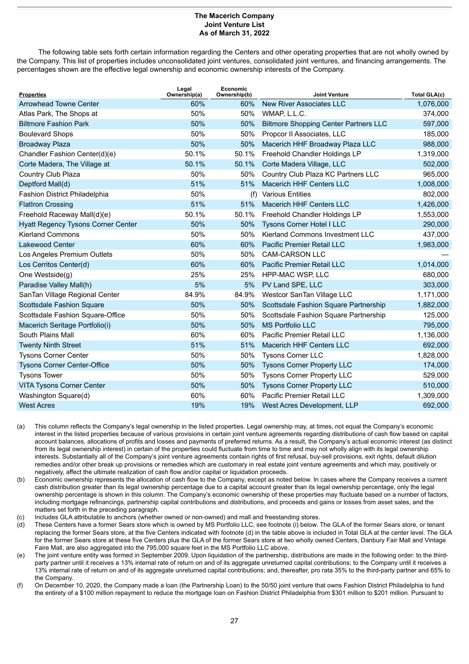#### **The Macerich Company Joint Venture List As of March 31, 2022**

<span id="page-28-0"></span>The following table sets forth certain information regarding the Centers and other operating properties that are not wholly owned by the Company. This list of properties includes unconsolidated joint ventures, consolidated joint ventures, and financing arrangements. The percentages shown are the effective legal ownership and economic ownership interests of the Company.

| <b>Properties</b>                         | Legal<br>Ownership(a) | Economic<br>Ownership(b) | <b>Joint Venture</b>                         | <b>Total GLA(c)</b> |
|-------------------------------------------|-----------------------|--------------------------|----------------------------------------------|---------------------|
| <b>Arrowhead Towne Center</b>             | 60%                   | 60%                      | <b>New River Associates LLC</b>              | 1,076,000           |
| Atlas Park, The Shops at                  | 50%                   | 50%                      | WMAP, L.L.C.                                 | 374,000             |
| <b>Biltmore Fashion Park</b>              | 50%                   | 50%                      | <b>Biltmore Shopping Center Partners LLC</b> | 597,000             |
| <b>Boulevard Shops</b>                    | 50%                   | 50%                      | Propcor II Associates, LLC                   | 185,000             |
| <b>Broadway Plaza</b>                     | 50%                   | 50%                      | Macerich HHF Broadway Plaza LLC              | 988,000             |
| Chandler Fashion Center(d)(e)             | 50.1%                 | 50.1%                    | Freehold Chandler Holdings LP                | 1,319,000           |
| Corte Madera, The Village at              | 50.1%                 | 50.1%                    | Corte Madera Village, LLC                    | 502,000             |
| Country Club Plaza                        | 50%                   | 50%                      | Country Club Plaza KC Partners LLC           | 965,000             |
| Deptford Mall(d)                          | 51%                   | 51%                      | <b>Macerich HHF Centers LLC</b>              | 1,008,000           |
| <b>Fashion District Philadelphia</b>      | 50%                   | (f)                      | <b>Various Entities</b>                      | 802,000             |
| <b>FlatIron Crossing</b>                  | 51%                   | 51%                      | Macerich HHF Centers LLC                     | 1,426,000           |
| Freehold Raceway Mall(d)(e)               | 50.1%                 | 50.1%                    | Freehold Chandler Holdings LP                | 1,553,000           |
| <b>Hyatt Regency Tysons Corner Center</b> | 50%                   | 50%                      | <b>Tysons Corner Hotel I LLC</b>             | 290,000             |
| <b>Kierland Commons</b>                   | 50%                   | 50%                      | Kierland Commons Investment LLC              | 437,000             |
| <b>Lakewood Center</b>                    | 60%                   | 60%                      | <b>Pacific Premier Retail LLC</b>            | 1,983,000           |
| Los Angeles Premium Outlets               | 50%                   | 50%                      | <b>CAM-CARSON LLC</b>                        |                     |
| Los Cerritos Center(d)                    | 60%                   | 60%                      | <b>Pacific Premier Retail LLC</b>            | 1,014,000           |
| One Westside(q)                           | 25%                   | 25%                      | <b>HPP-MAC WSP, LLC</b>                      | 680,000             |
| Paradise Valley Mall(h)                   | 5%                    | 5%                       | PV Land SPE, LLC                             | 303,000             |
| SanTan Village Regional Center            | 84.9%                 | 84.9%                    | Westcor SanTan Village LLC                   | 1,171,000           |
| Scottsdale Fashion Square                 | 50%                   | 50%                      | Scottsdale Fashion Square Partnership        | 1,882,000           |
| Scottsdale Fashion Square-Office          | 50%                   | 50%                      | Scottsdale Fashion Square Partnership        | 125,000             |
| Macerich Seritage Portfolio(i)            | 50%                   | 50%                      | <b>MS Portfolio LLC</b>                      | 795,000             |
| South Plains Mall                         | 60%                   | 60%                      | Pacific Premier Retail LLC                   | 1,136,000           |
| <b>Twenty Ninth Street</b>                | 51%                   | 51%                      | <b>Macerich HHF Centers LLC</b>              | 692,000             |
| <b>Tysons Corner Center</b>               | 50%                   | 50%                      | <b>Tysons Corner LLC</b>                     | 1,828,000           |
| <b>Tysons Corner Center-Office</b>        | 50%                   | 50%                      | <b>Tysons Corner Property LLC</b>            | 174,000             |
| <b>Tysons Tower</b>                       | 50%                   | 50%                      | <b>Tysons Corner Property LLC</b>            | 529,000             |
| <b>VITA Tysons Corner Center</b>          | 50%                   | 50%                      | <b>Tysons Corner Property LLC</b>            | 510,000             |
| Washington Square(d)                      | 60%                   | 60%                      | Pacific Premier Retail LLC                   | 1,309,000           |
| <b>West Acres</b>                         | 19%                   | 19%                      | West Acres Development, LLP                  | 692,000             |

- (a) This column reflects the Company's legal ownership in the listed properties. Legal ownership may, at times, not equal the Company's economic interest in the listed properties because of various provisions in certain joint venture agreements regarding distributions of cash flow based on capital account balances, allocations of profits and losses and payments of preferred returns. As a result, the Company's actual economic interest (as distinct from its legal ownership interest) in certain of the properties could fluctuate from time to time and may not wholly align with its legal ownership interests. Substantially all of the Company's joint venture agreements contain rights of first refusal, buy-sell provisions, exit rights, default dilution remedies and/or other break up provisions or remedies which are customary in real estate joint venture agreements and which may, positively or negatively, affect the ultimate realization of cash flow and/or capital or liquidation proceeds.
- (b) Economic ownership represents the allocation of cash flow to the Company, except as noted below. In cases where the Company receives a current cash distribution greater than its legal ownership percentage due to a capital account greater than its legal ownership percentage, only the legal ownership percentage is shown in this column. The Company's economic ownership of these properties may fluctuate based on a number of factors, including mortgage refinancings, partnership capital contributions and distributions, and proceeds and gains or losses from asset sales, and the matters set forth in the preceding paragraph.
- (c) Includes GLA attributable to anchors (whether owned or non-owned) and mall and freestanding stores.
- (d) These Centers have a former Sears store which is owned by MS Portfolio LLC, see footnote (i) below. The GLA of the former Sears store, or tenant replacing the former Sears store, at the five Centers indicated with footnote (d) in the table above is included in Total GLA at the center level. The GLA for the former Sears store at these five Centers plus the GLA of the former Sears store at two wholly owned Centers, Danbury Fair Mall and Vintage Faire Mall, are also aggregated into the 795,000 square feet in the MS Portfolio LLC above.
- (e) The joint venture entity was formed in September 2009. Upon liquidation of the partnership, distributions are made in the following order: to the thirdparty partner until it receives a 13% internal rate of return on and of its aggregate unreturned capital contributions; to the Company until it receives a 13% internal rate of return on and of its aggregate unreturned capital contributions; and, thereafter, pro rata 35% to the third-party partner and 65% to the Company.
- (f) On December 10, 2020, the Company made a loan (the Partnership Loan) to the 50/50 joint venture that owns Fashion District Philadelphia to fund the entirety of a \$100 million repayment to reduce the mortgage loan on Fashion District Philadelphia from \$301 million to \$201 million. Pursuant to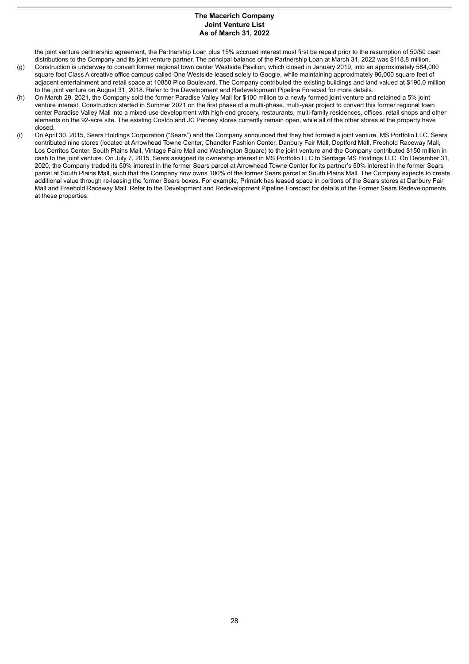#### **The Macerich Company Joint Venture List As of March 31, 2022**

the joint venture partnership agreement, the Partnership Loan plus 15% accrued interest must first be repaid prior to the resumption of 50/50 cash distributions to the Company and its joint venture partner. The principal balance of the Partnership Loan at March 31, 2022 was \$118.8 million. (g) Construction is underway to convert former regional town center Westside Pavilion, which closed in January 2019, into an approximately 584,000 square foot Class A creative office campus called One Westside leased solely to Google, while maintaining approximately 96,000 square feet of adjacent entertainment and retail space at 10850 Pico Boulevard. The Company contributed the existing buildings and land valued at \$190.0 million

- to the joint venture on August 31, 2018. Refer to the Development and Redevelopment Pipeline Forecast for more details. (h) On March 29, 2021, the Company sold the former Paradise Valley Mall for \$100 million to a newly formed joint venture and retained a 5% joint venture interest. Construction started in Summer 2021 on the first phase of a multi-phase, multi-year project to convert this former regional town center Paradise Valley Mall into a mixed-use development with high-end grocery, restaurants, multi-family residences, offices, retail shops and other elements on the 92-acre site. The existing Costco and JC Penney stores currently remain open, while all of the other stores at the property have closed.
- (i) On April 30, 2015, Sears Holdings Corporation ("Sears") and the Company announced that they had formed a joint venture, MS Portfolio LLC. Sears contributed nine stores (located at Arrowhead Towne Center, Chandler Fashion Center, Danbury Fair Mall, Deptford Mall, Freehold Raceway Mall, Los Cerritos Center, South Plains Mall, Vintage Faire Mall and Washington Square) to the joint venture and the Company contributed \$150 million in cash to the joint venture. On July 7, 2015, Sears assigned its ownership interest in MS Portfolio LLC to Seritage MS Holdings LLC. On December 31, 2020, the Company traded its 50% interest in the former Sears parcel at Arrowhead Towne Center for its partner's 50% interest in the former Sears parcel at South Plains Mall, such that the Company now owns 100% of the former Sears parcel at South Plains Mall. The Company expects to create additional value through re-leasing the former Sears boxes. For example, Primark has leased space in portions of the Sears stores at Danbury Fair Mall and Freehold Raceway Mall. Refer to the Development and Redevelopment Pipeline Forecast for details of the Former Sears Redevelopments at these properties.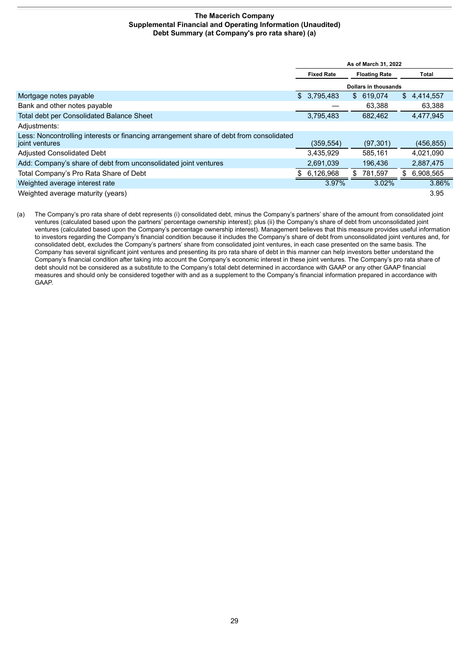#### **The Macerich Company Supplemental Financial and Operating Information (Unaudited) Debt Summary (at Company's pro rata share) (a)**

<span id="page-30-0"></span>

|                                                                                                           | As of March 31, 2022 |             |                      |            |     |            |
|-----------------------------------------------------------------------------------------------------------|----------------------|-------------|----------------------|------------|-----|------------|
|                                                                                                           | <b>Fixed Rate</b>    |             | <b>Floating Rate</b> |            |     | Total      |
|                                                                                                           | Dollars in thousands |             |                      |            |     |            |
| Mortgage notes payable                                                                                    |                      | \$3,795,483 |                      | \$ 619,074 | \$  | 4.414.557  |
| Bank and other notes payable                                                                              |                      |             |                      | 63,388     |     | 63,388     |
| <b>Total debt per Consolidated Balance Sheet</b>                                                          |                      | 3,795,483   |                      | 682.462    |     | 4,477,945  |
| Adjustments:                                                                                              |                      |             |                      |            |     |            |
| Less: Noncontrolling interests or financing arrangement share of debt from consolidated<br>joint ventures |                      | (359,554)   |                      | (97, 301)  |     | (456, 855) |
| <b>Adjusted Consolidated Debt</b>                                                                         |                      | 3,435,929   |                      | 585.161    |     | 4.021.090  |
| Add: Company's share of debt from unconsolidated joint ventures                                           |                      | 2,691,039   |                      | 196,436    |     | 2,887,475  |
| Total Company's Pro Rata Share of Debt                                                                    |                      | 6,126,968   | S.                   | 781,597    | \$. | 6,908,565  |
| Weighted average interest rate                                                                            |                      | 3.97%       |                      | 3.02%      |     | 3.86%      |
| Weighted average maturity (years)                                                                         |                      |             |                      |            |     | 3.95       |

(a) The Company's pro rata share of debt represents (i) consolidated debt, minus the Company's partners' share of the amount from consolidated joint ventures (calculated based upon the partners' percentage ownership interest); plus (ii) the Company's share of debt from unconsolidated joint ventures (calculated based upon the Company's percentage ownership interest). Management believes that this measure provides useful information to investors regarding the Company's financial condition because it includes the Company's share of debt from unconsolidated joint ventures and, for consolidated debt, excludes the Company's partners' share from consolidated joint ventures, in each case presented on the same basis. The Company has several significant joint ventures and presenting its pro rata share of debt in this manner can help investors better understand the Company's financial condition after taking into account the Company's economic interest in these joint ventures. The Company's pro rata share of debt should not be considered as a substitute to the Company's total debt determined in accordance with GAAP or any other GAAP financial measures and should only be considered together with and as a supplement to the Company's financial information prepared in accordance with GAAP.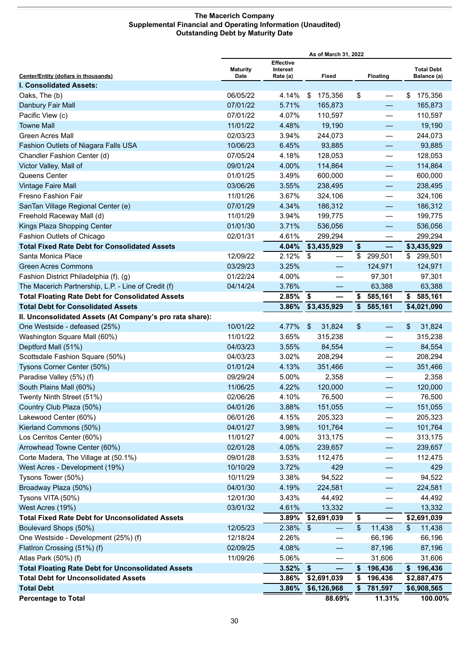#### **The Macerich Company Supplemental Financial and Operating Information (Unaudited) Outstanding Debt by Maturity Date**

<span id="page-31-0"></span>

|                                                           |                 | As of March 31, 2022         |                                |                         |                                |                   |
|-----------------------------------------------------------|-----------------|------------------------------|--------------------------------|-------------------------|--------------------------------|-------------------|
|                                                           | <b>Maturity</b> | <b>Effective</b><br>Interest |                                |                         |                                | <b>Total Debt</b> |
| <b>Center/Entity (dollars in thousands)</b>               | Date            | Rate (a)                     | Fixed                          |                         | <b>Floating</b>                | Balance (a)       |
| <b>I. Consolidated Assets:</b>                            |                 | 4.14%                        |                                |                         |                                |                   |
| Oaks, The (b)                                             | 06/05/22        |                              | 175,356<br>\$                  | \$                      |                                | 175,356<br>\$     |
| Danbury Fair Mall                                         | 07/01/22        | 5.71%                        | 165,873                        |                         |                                | 165,873           |
| Pacific View (c)                                          | 07/01/22        | 4.07%                        | 110,597                        |                         | —                              | 110,597           |
| <b>Towne Mall</b>                                         | 11/01/22        | 4.48%                        | 19,190                         |                         |                                | 19,190            |
| <b>Green Acres Mall</b>                                   | 02/03/23        | 3.94%                        | 244,073                        |                         | $\overline{\phantom{0}}$       | 244,073           |
| Fashion Outlets of Niagara Falls USA                      | 10/06/23        | 6.45%                        | 93,885                         |                         | $\qquad \qquad \longleftarrow$ | 93,885            |
| Chandler Fashion Center (d)                               | 07/05/24        | 4.18%                        | 128,053                        |                         | $\overline{\phantom{0}}$       | 128,053           |
| Victor Valley, Mall of                                    | 09/01/24        | 4.00%                        | 114,864                        |                         | $\qquad \qquad -$              | 114,864           |
| Queens Center                                             | 01/01/25        | 3.49%                        | 600,000                        |                         | $\qquad \qquad \longleftarrow$ | 600,000           |
| <b>Vintage Faire Mall</b>                                 | 03/06/26        | 3.55%                        | 238,495                        |                         | —                              | 238,495           |
| Fresno Fashion Fair                                       | 11/01/26        | 3.67%                        | 324,106                        |                         | $\overline{\phantom{0}}$       | 324,106           |
| SanTan Village Regional Center (e)                        | 07/01/29        | 4.34%                        | 186,312                        |                         |                                | 186,312           |
| Freehold Raceway Mall (d)                                 | 11/01/29        | 3.94%                        | 199,775                        |                         |                                | 199,775           |
| Kings Plaza Shopping Center                               | 01/01/30        | 3.71%                        | 536,056                        |                         |                                | 536,056           |
| Fashion Outlets of Chicago                                | 02/01/31        | 4.61%                        | 299,294                        |                         |                                | 299,294           |
| <b>Total Fixed Rate Debt for Consolidated Assets</b>      |                 | 4.04%                        | \$3,435,929                    | \$                      |                                | \$3,435,929       |
| Santa Monica Place                                        | 12/09/22        | 2.12%                        | S.<br>$\overline{\phantom{0}}$ |                         | \$ 299,501                     | \$ 299,501        |
| <b>Green Acres Commons</b>                                | 03/29/23        | 3.25%                        |                                |                         | 124,971                        | 124,971           |
| Fashion District Philadelphia (f), (g)                    | 01/22/24        | 4.00%                        | —                              |                         | 97,301                         | 97,301            |
| The Macerich Partnership, L.P. - Line of Credit (f)       | 04/14/24        | 3.76%                        |                                |                         | 63,388                         | 63,388            |
| <b>Total Floating Rate Debt for Consolidated Assets</b>   |                 | 2.85%                        | \$<br>$\overline{\phantom{0}}$ | \$                      | 585,161                        | \$<br>585,161     |
| <b>Total Debt for Consolidated Assets</b>                 |                 | 3.86%                        | \$3,435,929                    |                         | \$585,161                      | \$4,021,090       |
| II. Unconsolidated Assets (At Company's pro rata share):  |                 |                              |                                |                         |                                |                   |
| One Westside - defeased (25%)                             | 10/01/22        | 4.77%                        | 31,824<br>$\mathfrak{S}$       | \$                      | $\overline{\phantom{0}}$       | \$<br>31,824      |
| Washington Square Mall (60%)                              | 11/01/22        | 3.65%                        | 315,238                        |                         |                                | 315,238           |
| Deptford Mall (51%)                                       | 04/03/23        | 3.55%                        | 84,554                         |                         |                                | 84,554            |
| Scottsdale Fashion Square (50%)                           | 04/03/23        | 3.02%                        | 208,294                        |                         | $\overline{\phantom{0}}$       | 208,294           |
| Tysons Corner Center (50%)                                | 01/01/24        | 4.13%                        | 351,466                        |                         | $\qquad \qquad -$              | 351,466           |
| Paradise Valley (5%) (f)                                  | 09/29/24        | 5.00%                        | 2,358                          |                         |                                | 2,358             |
| South Plains Mall (60%)                                   | 11/06/25        | 4.22%                        | 120,000                        |                         |                                | 120,000           |
| Twenty Ninth Street (51%)                                 | 02/06/26        | 4.10%                        | 76,500                         |                         |                                | 76,500            |
| Country Club Plaza (50%)                                  | 04/01/26        | 3.88%                        | 151,055                        |                         | —                              | 151,055           |
| Lakewood Center (60%)                                     | 06/01/26        | 4.15%                        | 205,323                        |                         |                                | 205,323           |
| Kierland Commons (50%)                                    | 04/01/27        | 3.98%                        | 101,764                        |                         |                                | 101,764           |
| Los Cerritos Center (60%)                                 | 11/01/27        | 4.00%                        | 313,175                        |                         | $\overline{\phantom{0}}$       | 313,175           |
| Arrowhead Towne Center (60%)                              | 02/01/28        | 4.05%                        | 239,657                        |                         | -                              | 239,657           |
| Corte Madera, The Village at (50.1%)                      | 09/01/28        | 3.53%                        | 112,475                        |                         | —                              | 112,475           |
| West Acres - Development (19%)                            | 10/10/29        | 3.72%                        | 429                            |                         |                                | 429               |
| Tysons Tower (50%)                                        | 10/11/29        | 3.38%                        | 94,522                         |                         |                                | 94,522            |
| Broadway Plaza (50%)                                      | 04/01/30        | 4.19%                        | 224,581                        |                         | $\overline{\phantom{0}}$       | 224,581           |
| Tysons VITA (50%)                                         | 12/01/30        | 3.43%                        | 44,492                         |                         |                                | 44,492            |
| West Acres (19%)                                          | 03/01/32        | 4.61%                        | 13,332                         |                         |                                | 13,332            |
| <b>Total Fixed Rate Debt for Unconsolidated Assets</b>    |                 | 3.89%                        | \$2,691,039                    | \$                      | —                              | \$2,691,039       |
| Boulevard Shops (50%)                                     | 12/05/23        | 2.38%                        | \$                             | $\sqrt[6]{\frac{1}{2}}$ | 11,438                         | \$<br>11,438      |
| One Westside - Development (25%) (f)                      | 12/18/24        | 2.26%                        |                                |                         | 66,196                         | 66,196            |
| FlatIron Crossing (51%) (f)                               | 02/09/25        | 4.08%                        |                                |                         | 87,196                         | 87,196            |
|                                                           | 11/09/26        |                              |                                |                         |                                |                   |
| Atlas Park (50%) (f)                                      |                 | 5.06%                        |                                |                         | 31,606                         | 31,606            |
| <b>Total Floating Rate Debt for Unconsolidated Assets</b> |                 | 3.52%                        | \$                             | \$                      | 196,436                        | 196,436<br>\$     |
| <b>Total Debt for Unconsolidated Assets</b>               |                 | 3.86%                        | \$2,691,039                    | \$                      | 196,436                        | \$2,887,475       |
| <b>Total Debt</b>                                         |                 | 3.86%                        | \$6,126,968                    | \$                      | 781,597                        | \$6,908,565       |
| <b>Percentage to Total</b>                                |                 |                              | 88.69%                         |                         | 11.31%                         | 100.00%           |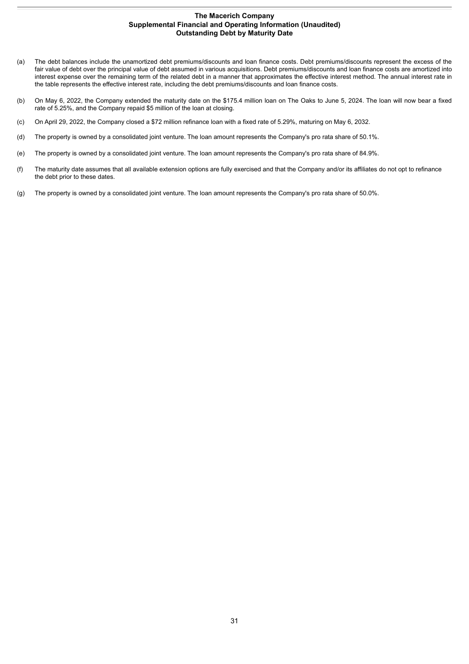#### **The Macerich Company Supplemental Financial and Operating Information (Unaudited) Outstanding Debt by Maturity Date**

- (a) The debt balances include the unamortized debt premiums/discounts and loan finance costs. Debt premiums/discounts represent the excess of the fair value of debt over the principal value of debt assumed in various acquisitions. Debt premiums/discounts and loan finance costs are amortized into interest expense over the remaining term of the related debt in a manner that approximates the effective interest method. The annual interest rate in the table represents the effective interest rate, including the debt premiums/discounts and loan finance costs.
- (b) On May 6, 2022, the Company extended the maturity date on the \$175.4 million loan on The Oaks to June 5, 2024. The loan will now bear a fixed rate of 5.25%, and the Company repaid \$5 million of the loan at closing.
- (c) On April 29, 2022, the Company closed a \$72 million refinance loan with a fixed rate of 5.29%, maturing on May 6, 2032.
- (d) The property is owned by a consolidated joint venture. The loan amount represents the Company's pro rata share of 50.1%.
- (e) The property is owned by a consolidated joint venture. The loan amount represents the Company's pro rata share of 84.9%.
- (f) The maturity date assumes that all available extension options are fully exercised and that the Company and/or its affiliates do not opt to refinance the debt prior to these dates.
- (g) The property is owned by a consolidated joint venture. The loan amount represents the Company's pro rata share of 50.0%.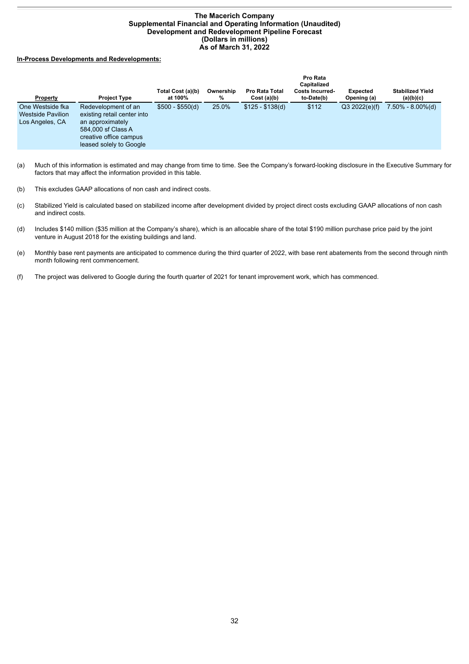#### **The Macerich Company Supplemental Financial and Operating Information (Unaudited) Development and Redevelopment Pipeline Forecast (Dollars in millions) As of March 31, 2022**

#### <span id="page-33-0"></span>**In-Process Developments and Redevelopments:**

| Property                                                        | <b>Project Type</b>                                                                                                                               | Total Cost (a)(b)<br>at 100% | Ownership<br>% | <b>Pro Rata Total</b><br>Cost(a)(b) | Pro Rata<br>Capitalized<br><b>Costs Incurred-</b><br>to-Date(b) | <b>Expected</b><br>Opening (a) | <b>Stabilized Yield</b><br>(a)(b)(c) |
|-----------------------------------------------------------------|---------------------------------------------------------------------------------------------------------------------------------------------------|------------------------------|----------------|-------------------------------------|-----------------------------------------------------------------|--------------------------------|--------------------------------------|
| One Westside fka<br><b>Westside Pavilion</b><br>Los Angeles, CA | Redevelopment of an<br>existing retail center into<br>an approximately<br>584,000 sf Class A<br>creative office campus<br>leased solely to Google | $$500 - $550(d)$             | 25.0%          | $$125 - $138(d)$                    | \$112                                                           | Q3 2022(e)(f)                  | 7.50% - 8.00%(d)                     |

(a) Much of this information is estimated and may change from time to time. See the Company's forward-looking disclosure in the Executive Summary for factors that may affect the information provided in this table.

(b) This excludes GAAP allocations of non cash and indirect costs.

- (c) Stabilized Yield is calculated based on stabilized income after development divided by project direct costs excluding GAAP allocations of non cash and indirect costs.
- (d) Includes \$140 million (\$35 million at the Company's share), which is an allocable share of the total \$190 million purchase price paid by the joint venture in August 2018 for the existing buildings and land.
- (e) Monthly base rent payments are anticipated to commence during the third quarter of 2022, with base rent abatements from the second through ninth month following rent commencement.
- (f) The project was delivered to Google during the fourth quarter of 2021 for tenant improvement work, which has commenced.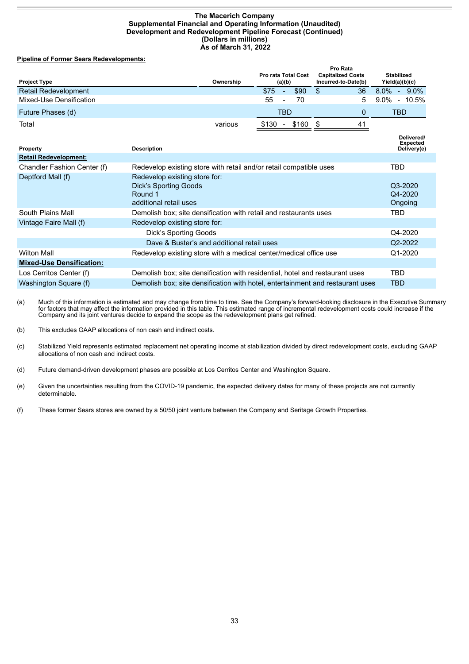#### **The Macerich Company Supplemental Financial and Operating Information (Unaudited) Development and Redevelopment Pipeline Forecast (Continued) (Dollars in millions) As of March 31, 2022**

#### **Pipeline of Former Sears Redevelopments:**

| <b>Project Type</b>         | Ownership | <b>Pro rata Total Cost</b> | <b>Pro Rata</b><br><b>Capitalized Costs</b><br>Incurred-to-Date(b) | <b>Stabilized</b><br>Yield(a)(b)(c) |
|-----------------------------|-----------|----------------------------|--------------------------------------------------------------------|-------------------------------------|
|                             |           | (a)(b)                     |                                                                    |                                     |
| <b>Retail Redevelopment</b> |           | \$75<br>\$90<br>$\sim$     | 36<br>S                                                            | $8.0\%$<br>$9.0\%$<br>÷.            |
| Mixed-Use Densification     |           | 55<br>70<br>$\blacksquare$ | 5.                                                                 | $9.0\%$<br>$-10.5\%$                |
| Future Phases (d)           |           | TBD                        |                                                                    | TBD                                 |
| Total                       | various   | \$160<br>\$130<br>$\sim$   | 41                                                                 |                                     |
|                             |           |                            |                                                                    | Delivered/                          |

| <b>Property</b>                 | <b>Description</b>                                                                          | <b>Expected</b><br>Delivery(e) |
|---------------------------------|---------------------------------------------------------------------------------------------|--------------------------------|
| <b>Retail Redevelopment:</b>    |                                                                                             |                                |
| Chandler Fashion Center (f)     | Redevelop existing store with retail and/or retail compatible uses                          | TBD                            |
| Deptford Mall (f)               | Redevelop existing store for:<br>Dick's Sporting Goods<br>Round 1<br>additional retail uses | Q3-2020<br>Q4-2020<br>Ongoing  |
| South Plains Mall               | Demolish box; site densification with retail and restaurants uses                           | TBD                            |
| Vintage Faire Mall (f)          | Redevelop existing store for:                                                               |                                |
|                                 | Dick's Sporting Goods                                                                       | Q4-2020                        |
|                                 | Dave & Buster's and additional retail uses                                                  | Q2-2022                        |
| <b>Wilton Mall</b>              | Redevelop existing store with a medical center/medical office use                           | $Q1 - 2020$                    |
| <b>Mixed-Use Densification:</b> |                                                                                             |                                |
| Los Cerritos Center (f)         | Demolish box; site densification with residential, hotel and restaurant uses                | TBD                            |
| Washington Square (f)           | Demolish box; site densification with hotel, entertainment and restaurant uses              | <b>TBD</b>                     |

(a) Much of this information is estimated and may change from time to time. See the Company's forward-looking disclosure in the Executive Summary for factors that may affect the information provided in this table. This estimated range of incremental redevelopment costs could increase if the Company and its joint ventures decide to expand the scope as the redevelopment plans get refined.

(b) This excludes GAAP allocations of non cash and indirect costs.

(c) Stabilized Yield represents estimated replacement net operating income at stabilization divided by direct redevelopment costs, excluding GAAP allocations of non cash and indirect costs.

(d) Future demand-driven development phases are possible at Los Cerritos Center and Washington Square.

(e) Given the uncertainties resulting from the COVID-19 pandemic, the expected delivery dates for many of these projects are not currently determinable.

(f) These former Sears stores are owned by a 50/50 joint venture between the Company and Seritage Growth Properties.